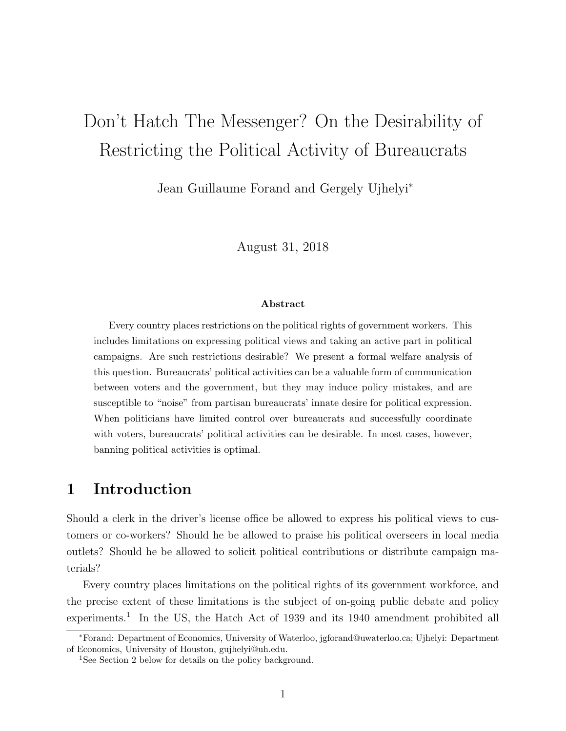# Don't Hatch The Messenger? On the Desirability of Restricting the Political Activity of Bureaucrats

Jean Guillaume Forand and Gergely Ujhelyi<sup>∗</sup>

August 31, 2018

#### Abstract

Every country places restrictions on the political rights of government workers. This includes limitations on expressing political views and taking an active part in political campaigns. Are such restrictions desirable? We present a formal welfare analysis of this question. Bureaucrats' political activities can be a valuable form of communication between voters and the government, but they may induce policy mistakes, and are susceptible to "noise" from partisan bureaucrats' innate desire for political expression. When politicians have limited control over bureaucrats and successfully coordinate with voters, bureaucrats' political activities can be desirable. In most cases, however, banning political activities is optimal.

## 1 Introduction

Should a clerk in the driver's license office be allowed to express his political views to customers or co-workers? Should he be allowed to praise his political overseers in local media outlets? Should he be allowed to solicit political contributions or distribute campaign materials?

Every country places limitations on the political rights of its government workforce, and the precise extent of these limitations is the subject of on-going public debate and policy experiments.<sup>1</sup> In the US, the Hatch Act of 1939 and its 1940 amendment prohibited all

<sup>∗</sup>Forand: Department of Economics, University of Waterloo, jgforand@uwaterloo.ca; Ujhelyi: Department of Economics, University of Houston, gujhelyi@uh.edu.

<sup>&</sup>lt;sup>1</sup>See Section 2 below for details on the policy background.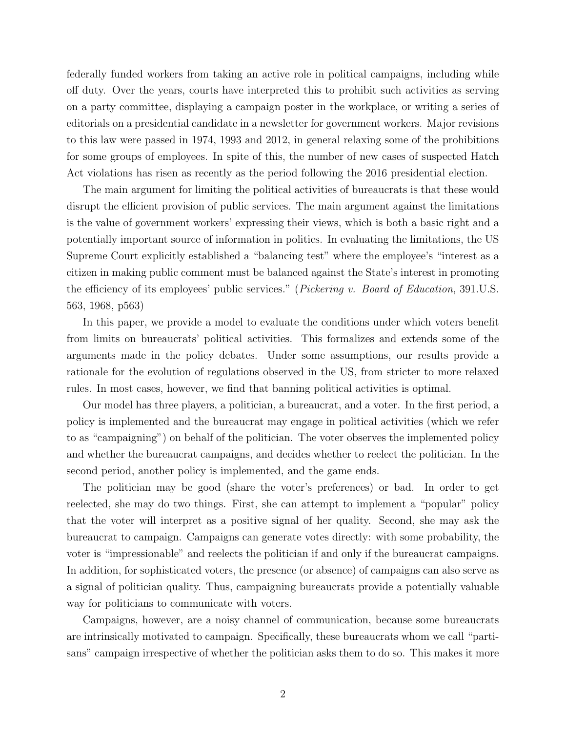federally funded workers from taking an active role in political campaigns, including while off duty. Over the years, courts have interpreted this to prohibit such activities as serving on a party committee, displaying a campaign poster in the workplace, or writing a series of editorials on a presidential candidate in a newsletter for government workers. Major revisions to this law were passed in 1974, 1993 and 2012, in general relaxing some of the prohibitions for some groups of employees. In spite of this, the number of new cases of suspected Hatch Act violations has risen as recently as the period following the 2016 presidential election.

The main argument for limiting the political activities of bureaucrats is that these would disrupt the efficient provision of public services. The main argument against the limitations is the value of government workers' expressing their views, which is both a basic right and a potentially important source of information in politics. In evaluating the limitations, the US Supreme Court explicitly established a "balancing test" where the employee's "interest as a citizen in making public comment must be balanced against the State's interest in promoting the efficiency of its employees' public services." (Pickering v. Board of Education, 391.U.S. 563, 1968, p563)

In this paper, we provide a model to evaluate the conditions under which voters benefit from limits on bureaucrats' political activities. This formalizes and extends some of the arguments made in the policy debates. Under some assumptions, our results provide a rationale for the evolution of regulations observed in the US, from stricter to more relaxed rules. In most cases, however, we find that banning political activities is optimal.

Our model has three players, a politician, a bureaucrat, and a voter. In the first period, a policy is implemented and the bureaucrat may engage in political activities (which we refer to as "campaigning") on behalf of the politician. The voter observes the implemented policy and whether the bureaucrat campaigns, and decides whether to reelect the politician. In the second period, another policy is implemented, and the game ends.

The politician may be good (share the voter's preferences) or bad. In order to get reelected, she may do two things. First, she can attempt to implement a "popular" policy that the voter will interpret as a positive signal of her quality. Second, she may ask the bureaucrat to campaign. Campaigns can generate votes directly: with some probability, the voter is "impressionable" and reelects the politician if and only if the bureaucrat campaigns. In addition, for sophisticated voters, the presence (or absence) of campaigns can also serve as a signal of politician quality. Thus, campaigning bureaucrats provide a potentially valuable way for politicians to communicate with voters.

Campaigns, however, are a noisy channel of communication, because some bureaucrats are intrinsically motivated to campaign. Specifically, these bureaucrats whom we call "partisans" campaign irrespective of whether the politician asks them to do so. This makes it more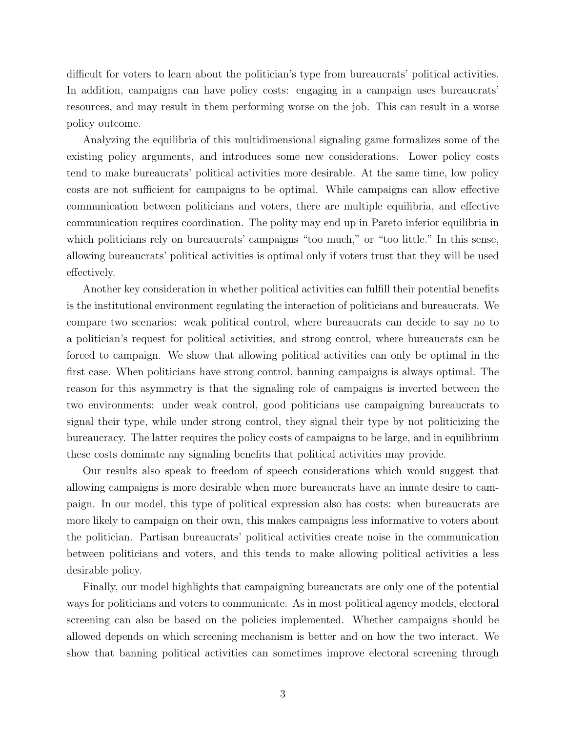difficult for voters to learn about the politician's type from bureaucrats' political activities. In addition, campaigns can have policy costs: engaging in a campaign uses bureaucrats' resources, and may result in them performing worse on the job. This can result in a worse policy outcome.

Analyzing the equilibria of this multidimensional signaling game formalizes some of the existing policy arguments, and introduces some new considerations. Lower policy costs tend to make bureaucrats' political activities more desirable. At the same time, low policy costs are not sufficient for campaigns to be optimal. While campaigns can allow effective communication between politicians and voters, there are multiple equilibria, and effective communication requires coordination. The polity may end up in Pareto inferior equilibria in which politicians rely on bureaucrats' campaigns "too much," or "too little." In this sense, allowing bureaucrats' political activities is optimal only if voters trust that they will be used effectively.

Another key consideration in whether political activities can fulfill their potential benefits is the institutional environment regulating the interaction of politicians and bureaucrats. We compare two scenarios: weak political control, where bureaucrats can decide to say no to a politician's request for political activities, and strong control, where bureaucrats can be forced to campaign. We show that allowing political activities can only be optimal in the first case. When politicians have strong control, banning campaigns is always optimal. The reason for this asymmetry is that the signaling role of campaigns is inverted between the two environments: under weak control, good politicians use campaigning bureaucrats to signal their type, while under strong control, they signal their type by not politicizing the bureaucracy. The latter requires the policy costs of campaigns to be large, and in equilibrium these costs dominate any signaling benefits that political activities may provide.

Our results also speak to freedom of speech considerations which would suggest that allowing campaigns is more desirable when more bureaucrats have an innate desire to campaign. In our model, this type of political expression also has costs: when bureaucrats are more likely to campaign on their own, this makes campaigns less informative to voters about the politician. Partisan bureaucrats' political activities create noise in the communication between politicians and voters, and this tends to make allowing political activities a less desirable policy.

Finally, our model highlights that campaigning bureaucrats are only one of the potential ways for politicians and voters to communicate. As in most political agency models, electoral screening can also be based on the policies implemented. Whether campaigns should be allowed depends on which screening mechanism is better and on how the two interact. We show that banning political activities can sometimes improve electoral screening through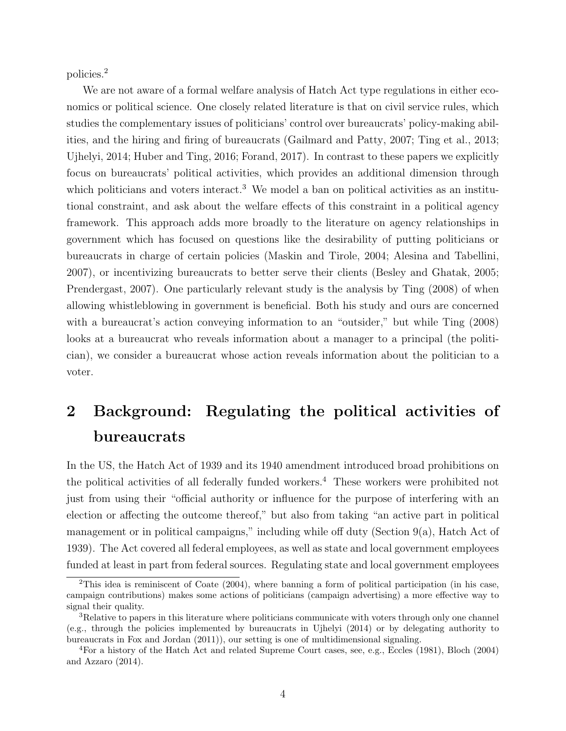policies.<sup>2</sup>

We are not aware of a formal welfare analysis of Hatch Act type regulations in either economics or political science. One closely related literature is that on civil service rules, which studies the complementary issues of politicians' control over bureaucrats' policy-making abilities, and the hiring and firing of bureaucrats (Gailmard and Patty, 2007; Ting et al., 2013; Ujhelyi, 2014; Huber and Ting, 2016; Forand, 2017). In contrast to these papers we explicitly focus on bureaucrats' political activities, which provides an additional dimension through which politicians and voters interact.<sup>3</sup> We model a ban on political activities as an institutional constraint, and ask about the welfare effects of this constraint in a political agency framework. This approach adds more broadly to the literature on agency relationships in government which has focused on questions like the desirability of putting politicians or bureaucrats in charge of certain policies (Maskin and Tirole, 2004; Alesina and Tabellini, 2007), or incentivizing bureaucrats to better serve their clients (Besley and Ghatak, 2005; Prendergast, 2007). One particularly relevant study is the analysis by Ting (2008) of when allowing whistleblowing in government is beneficial. Both his study and ours are concerned with a bureaucrat's action conveying information to an "outsider," but while Ting (2008) looks at a bureaucrat who reveals information about a manager to a principal (the politician), we consider a bureaucrat whose action reveals information about the politician to a voter.

## 2 Background: Regulating the political activities of bureaucrats

In the US, the Hatch Act of 1939 and its 1940 amendment introduced broad prohibitions on the political activities of all federally funded workers.<sup>4</sup> These workers were prohibited not just from using their "official authority or influence for the purpose of interfering with an election or affecting the outcome thereof," but also from taking "an active part in political management or in political campaigns," including while off duty (Section 9(a), Hatch Act of 1939). The Act covered all federal employees, as well as state and local government employees funded at least in part from federal sources. Regulating state and local government employees

<sup>&</sup>lt;sup>2</sup>This idea is reminiscent of Coate (2004), where banning a form of political participation (in his case, campaign contributions) makes some actions of politicians (campaign advertising) a more effective way to signal their quality.

<sup>3</sup>Relative to papers in this literature where politicians communicate with voters through only one channel (e.g., through the policies implemented by bureaucrats in Ujhelyi (2014) or by delegating authority to bureaucrats in Fox and Jordan (2011)), our setting is one of multidimensional signaling.

<sup>4</sup>For a history of the Hatch Act and related Supreme Court cases, see, e.g., Eccles (1981), Bloch (2004) and Azzaro (2014).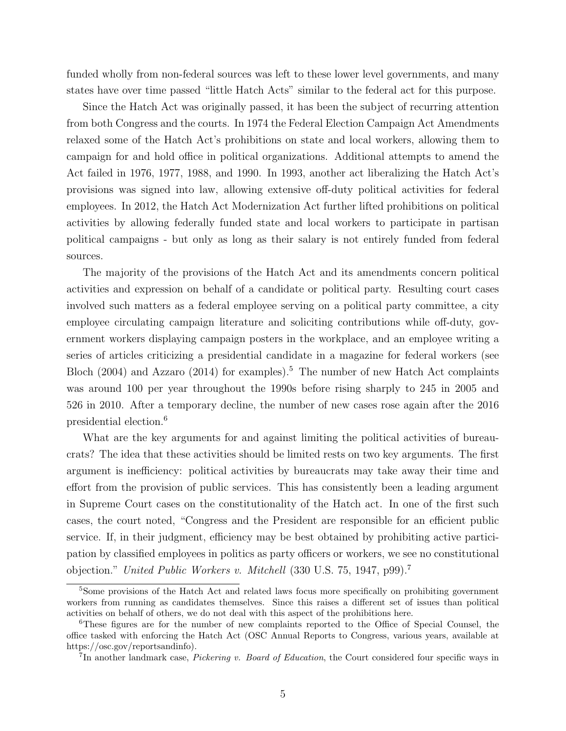funded wholly from non-federal sources was left to these lower level governments, and many states have over time passed "little Hatch Acts" similar to the federal act for this purpose.

Since the Hatch Act was originally passed, it has been the subject of recurring attention from both Congress and the courts. In 1974 the Federal Election Campaign Act Amendments relaxed some of the Hatch Act's prohibitions on state and local workers, allowing them to campaign for and hold office in political organizations. Additional attempts to amend the Act failed in 1976, 1977, 1988, and 1990. In 1993, another act liberalizing the Hatch Act's provisions was signed into law, allowing extensive off-duty political activities for federal employees. In 2012, the Hatch Act Modernization Act further lifted prohibitions on political activities by allowing federally funded state and local workers to participate in partisan political campaigns - but only as long as their salary is not entirely funded from federal sources.

The majority of the provisions of the Hatch Act and its amendments concern political activities and expression on behalf of a candidate or political party. Resulting court cases involved such matters as a federal employee serving on a political party committee, a city employee circulating campaign literature and soliciting contributions while off-duty, government workers displaying campaign posters in the workplace, and an employee writing a series of articles criticizing a presidential candidate in a magazine for federal workers (see Bloch (2004) and Azzaro (2014) for examples).<sup>5</sup> The number of new Hatch Act complaints was around 100 per year throughout the 1990s before rising sharply to 245 in 2005 and 526 in 2010. After a temporary decline, the number of new cases rose again after the 2016 presidential election.<sup>6</sup>

What are the key arguments for and against limiting the political activities of bureaucrats? The idea that these activities should be limited rests on two key arguments. The first argument is inefficiency: political activities by bureaucrats may take away their time and effort from the provision of public services. This has consistently been a leading argument in Supreme Court cases on the constitutionality of the Hatch act. In one of the first such cases, the court noted, "Congress and the President are responsible for an efficient public service. If, in their judgment, efficiency may be best obtained by prohibiting active participation by classified employees in politics as party officers or workers, we see no constitutional objection." United Public Workers v. Mitchell (330 U.S. 75, 1947, p99).<sup>7</sup>

<sup>&</sup>lt;sup>5</sup>Some provisions of the Hatch Act and related laws focus more specifically on prohibiting government workers from running as candidates themselves. Since this raises a different set of issues than political activities on behalf of others, we do not deal with this aspect of the prohibitions here.

<sup>6</sup>These figures are for the number of new complaints reported to the Office of Special Counsel, the office tasked with enforcing the Hatch Act (OSC Annual Reports to Congress, various years, available at https://osc.gov/reportsandinfo).

<sup>&</sup>lt;sup>7</sup>In another landmark case, *Pickering v. Board of Education*, the Court considered four specific ways in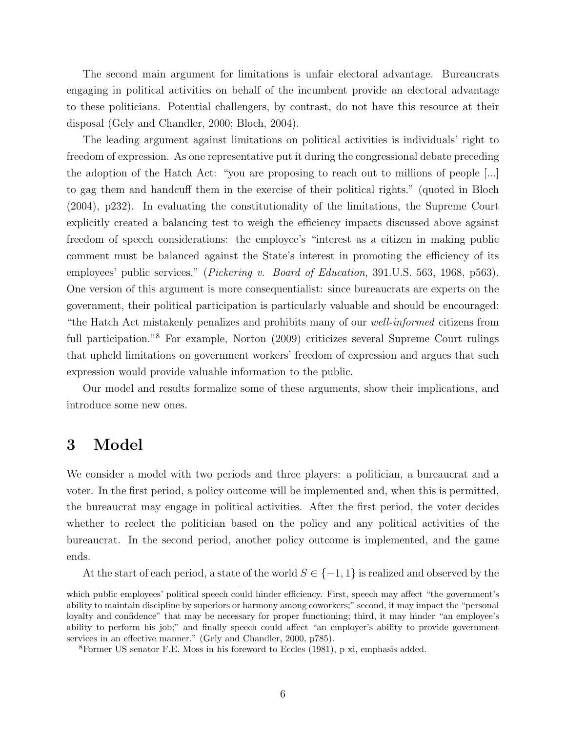The second main argument for limitations is unfair electoral advantage. Bureaucrats engaging in political activities on behalf of the incumbent provide an electoral advantage to these politicians. Potential challengers, by contrast, do not have this resource at their disposal (Gely and Chandler, 2000; Bloch, 2004).

The leading argument against limitations on political activities is individuals' right to freedom of expression. As one representative put it during the congressional debate preceding the adoption of the Hatch Act: "you are proposing to reach out to millions of people [...] to gag them and handcuff them in the exercise of their political rights." (quoted in Bloch (2004), p232). In evaluating the constitutionality of the limitations, the Supreme Court explicitly created a balancing test to weigh the efficiency impacts discussed above against freedom of speech considerations: the employee's "interest as a citizen in making public comment must be balanced against the State's interest in promoting the efficiency of its employees' public services." (Pickering v. Board of Education, 391.U.S. 563, 1968, p563). One version of this argument is more consequentialist: since bureaucrats are experts on the government, their political participation is particularly valuable and should be encouraged: "the Hatch Act mistakenly penalizes and prohibits many of our well-informed citizens from full participation."<sup>8</sup> For example, Norton (2009) criticizes several Supreme Court rulings that upheld limitations on government workers' freedom of expression and argues that such expression would provide valuable information to the public.

Our model and results formalize some of these arguments, show their implications, and introduce some new ones.

## 3 Model

We consider a model with two periods and three players: a politician, a bureaucrat and a voter. In the first period, a policy outcome will be implemented and, when this is permitted, the bureaucrat may engage in political activities. After the first period, the voter decides whether to reelect the politician based on the policy and any political activities of the bureaucrat. In the second period, another policy outcome is implemented, and the game ends.

At the start of each period, a state of the world  $S \in \{-1,1\}$  is realized and observed by the

which public employees' political speech could hinder efficiency. First, speech may affect "the government's ability to maintain discipline by superiors or harmony among coworkers;" second, it may impact the "personal loyalty and confidence" that may be necessary for proper functioning; third, it may hinder "an employee's ability to perform his job;" and finally speech could affect "an employer's ability to provide government services in an effective manner." (Gely and Chandler, 2000, p785).

<sup>8</sup>Former US senator F.E. Moss in his foreword to Eccles (1981), p xi, emphasis added.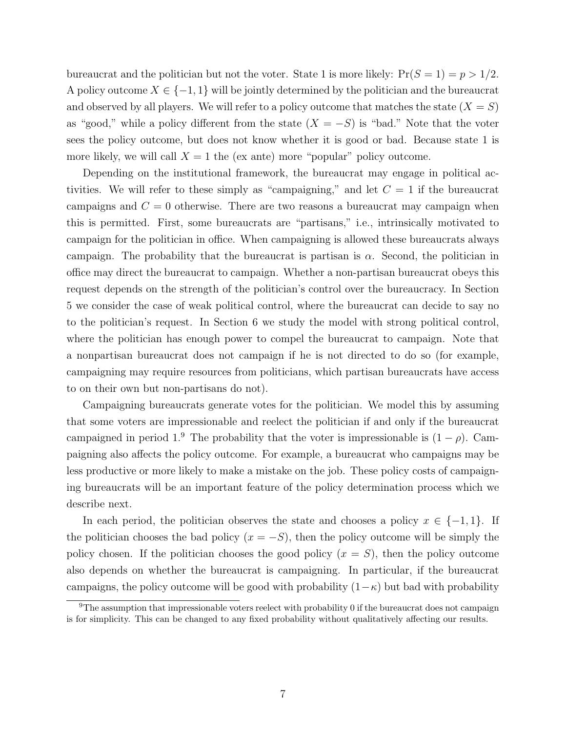bureaucrat and the politician but not the voter. State 1 is more likely:  $Pr(S = 1) = p > 1/2$ . A policy outcome  $X \in \{-1, 1\}$  will be jointly determined by the politician and the bureaucrat and observed by all players. We will refer to a policy outcome that matches the state  $(X = S)$ as "good," while a policy different from the state  $(X = -S)$  is "bad." Note that the voter sees the policy outcome, but does not know whether it is good or bad. Because state 1 is more likely, we will call  $X = 1$  the (ex ante) more "popular" policy outcome.

Depending on the institutional framework, the bureaucrat may engage in political activities. We will refer to these simply as "campaigning," and let  $C = 1$  if the bureaucrat campaigns and  $C = 0$  otherwise. There are two reasons a bureaucrat may campaign when this is permitted. First, some bureaucrats are "partisans," i.e., intrinsically motivated to campaign for the politician in office. When campaigning is allowed these bureaucrats always campaign. The probability that the bureaucrat is partisan is  $\alpha$ . Second, the politician in office may direct the bureaucrat to campaign. Whether a non-partisan bureaucrat obeys this request depends on the strength of the politician's control over the bureaucracy. In Section 5 we consider the case of weak political control, where the bureaucrat can decide to say no to the politician's request. In Section 6 we study the model with strong political control, where the politician has enough power to compel the bureaucrat to campaign. Note that a nonpartisan bureaucrat does not campaign if he is not directed to do so (for example, campaigning may require resources from politicians, which partisan bureaucrats have access to on their own but non-partisans do not).

Campaigning bureaucrats generate votes for the politician. We model this by assuming that some voters are impressionable and reelect the politician if and only if the bureaucrat campaigned in period 1.<sup>9</sup> The probability that the voter is impressionable is  $(1 - \rho)$ . Campaigning also affects the policy outcome. For example, a bureaucrat who campaigns may be less productive or more likely to make a mistake on the job. These policy costs of campaigning bureaucrats will be an important feature of the policy determination process which we describe next.

In each period, the politician observes the state and chooses a policy  $x \in \{-1,1\}$ . If the politician chooses the bad policy  $(x = -S)$ , then the policy outcome will be simply the policy chosen. If the politician chooses the good policy  $(x = S)$ , then the policy outcome also depends on whether the bureaucrat is campaigning. In particular, if the bureaucrat campaigns, the policy outcome will be good with probability  $(1-\kappa)$  but bad with probability

<sup>&</sup>lt;sup>9</sup>The assumption that impressionable voters reelect with probability 0 if the bureaucrat does not campaign is for simplicity. This can be changed to any fixed probability without qualitatively affecting our results.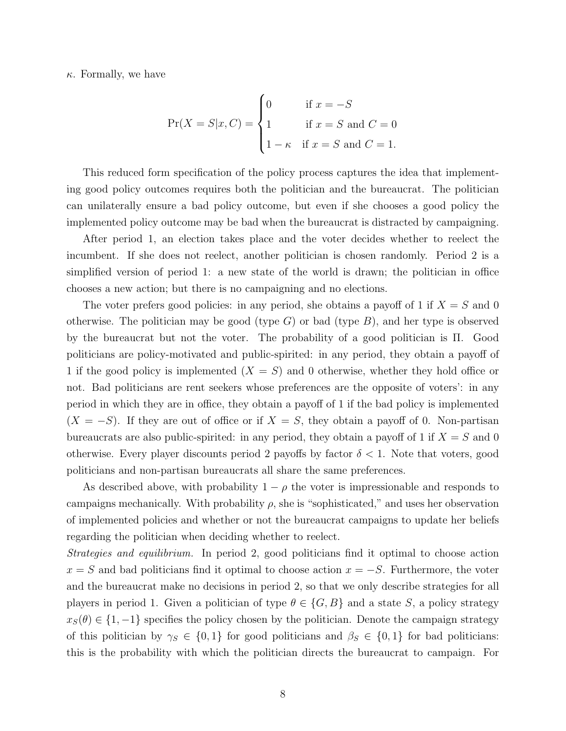$\kappa$ . Formally, we have

$$
Pr(X = S | x, C) = \begin{cases} 0 & \text{if } x = -S \\ 1 & \text{if } x = S \text{ and } C = 0 \\ 1 - \kappa & \text{if } x = S \text{ and } C = 1. \end{cases}
$$

This reduced form specification of the policy process captures the idea that implementing good policy outcomes requires both the politician and the bureaucrat. The politician can unilaterally ensure a bad policy outcome, but even if she chooses a good policy the implemented policy outcome may be bad when the bureaucrat is distracted by campaigning.

After period 1, an election takes place and the voter decides whether to reelect the incumbent. If she does not reelect, another politician is chosen randomly. Period 2 is a simplified version of period 1: a new state of the world is drawn; the politician in office chooses a new action; but there is no campaigning and no elections.

The voter prefers good policies: in any period, she obtains a payoff of 1 if  $X = S$  and 0 otherwise. The politician may be good (type  $G$ ) or bad (type  $B$ ), and her type is observed by the bureaucrat but not the voter. The probability of a good politician is Π. Good politicians are policy-motivated and public-spirited: in any period, they obtain a payoff of 1 if the good policy is implemented  $(X = S)$  and 0 otherwise, whether they hold office or not. Bad politicians are rent seekers whose preferences are the opposite of voters': in any period in which they are in office, they obtain a payoff of 1 if the bad policy is implemented  $(X = -S)$ . If they are out of office or if  $X = S$ , they obtain a payoff of 0. Non-partisan bureaucrats are also public-spirited: in any period, they obtain a payoff of 1 if  $X = S$  and 0 otherwise. Every player discounts period 2 payoffs by factor  $\delta < 1$ . Note that voters, good politicians and non-partisan bureaucrats all share the same preferences.

As described above, with probability  $1 - \rho$  the voter is impressionable and responds to campaigns mechanically. With probability  $\rho$ , she is "sophisticated," and uses her observation of implemented policies and whether or not the bureaucrat campaigns to update her beliefs regarding the politician when deciding whether to reelect.

Strategies and equilibrium. In period 2, good politicians find it optimal to choose action  $x = S$  and bad politicians find it optimal to choose action  $x = -S$ . Furthermore, the voter and the bureaucrat make no decisions in period 2, so that we only describe strategies for all players in period 1. Given a politician of type  $\theta \in \{G, B\}$  and a state S, a policy strategy  $x_S(\theta) \in \{1, -1\}$  specifies the policy chosen by the politician. Denote the campaign strategy of this politician by  $\gamma_S \in \{0,1\}$  for good politicians and  $\beta_S \in \{0,1\}$  for bad politicians: this is the probability with which the politician directs the bureaucrat to campaign. For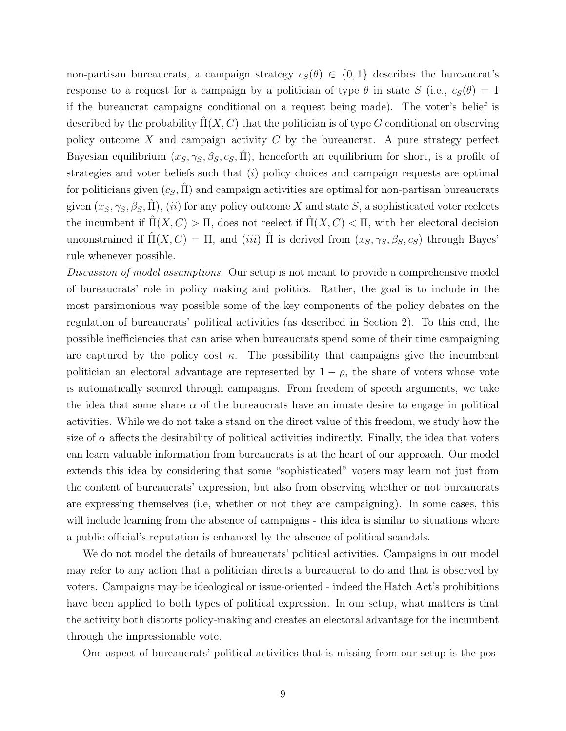non-partisan bureaucrats, a campaign strategy  $c_S(\theta) \in \{0,1\}$  describes the bureaucrat's response to a request for a campaign by a politician of type  $\theta$  in state S (i.e.,  $c_S(\theta) = 1$ if the bureaucrat campaigns conditional on a request being made). The voter's belief is described by the probability  $\Pi(X, C)$  that the politician is of type G conditional on observing policy outcome X and campaign activity  $C$  by the bureaucrat. A pure strategy perfect Bayesian equilibrium  $(x_S, \gamma_S, \beta_S, c_S, \hat{\Pi})$ , henceforth an equilibrium for short, is a profile of strategies and voter beliefs such that  $(i)$  policy choices and campaign requests are optimal for politicians given  $(c_S, \Pi)$  and campaign activities are optimal for non-partisan bureaucrats given  $(x_S, \gamma_S, \beta_S, \hat{\Pi})$ , (*ii*) for any policy outcome X and state S, a sophisticated voter reelects the incumbent if  $\hat{\Pi}(X, C) > \Pi$ , does not reelect if  $\hat{\Pi}(X, C) < \Pi$ , with her electoral decision unconstrained if  $\Pi(X, C) = \Pi$ , and (iii)  $\Pi$  is derived from  $(x_S, \gamma_S, \beta_S, c_S)$  through Bayes' rule whenever possible.

Discussion of model assumptions. Our setup is not meant to provide a comprehensive model of bureaucrats' role in policy making and politics. Rather, the goal is to include in the most parsimonious way possible some of the key components of the policy debates on the regulation of bureaucrats' political activities (as described in Section 2). To this end, the possible inefficiencies that can arise when bureaucrats spend some of their time campaigning are captured by the policy cost  $\kappa$ . The possibility that campaigns give the incumbent politician an electoral advantage are represented by  $1 - \rho$ , the share of voters whose vote is automatically secured through campaigns. From freedom of speech arguments, we take the idea that some share  $\alpha$  of the bureaucrats have an innate desire to engage in political activities. While we do not take a stand on the direct value of this freedom, we study how the size of  $\alpha$  affects the desirability of political activities indirectly. Finally, the idea that voters can learn valuable information from bureaucrats is at the heart of our approach. Our model extends this idea by considering that some "sophisticated" voters may learn not just from the content of bureaucrats' expression, but also from observing whether or not bureaucrats are expressing themselves (i.e, whether or not they are campaigning). In some cases, this will include learning from the absence of campaigns - this idea is similar to situations where a public official's reputation is enhanced by the absence of political scandals.

We do not model the details of bureaucrats' political activities. Campaigns in our model may refer to any action that a politician directs a bureaucrat to do and that is observed by voters. Campaigns may be ideological or issue-oriented - indeed the Hatch Act's prohibitions have been applied to both types of political expression. In our setup, what matters is that the activity both distorts policy-making and creates an electoral advantage for the incumbent through the impressionable vote.

One aspect of bureaucrats' political activities that is missing from our setup is the pos-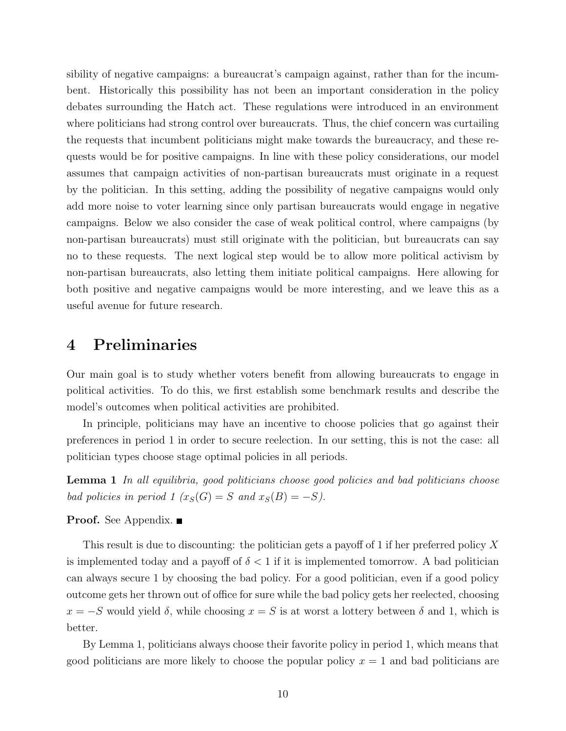sibility of negative campaigns: a bureaucrat's campaign against, rather than for the incumbent. Historically this possibility has not been an important consideration in the policy debates surrounding the Hatch act. These regulations were introduced in an environment where politicians had strong control over bureaucrats. Thus, the chief concern was curtailing the requests that incumbent politicians might make towards the bureaucracy, and these requests would be for positive campaigns. In line with these policy considerations, our model assumes that campaign activities of non-partisan bureaucrats must originate in a request by the politician. In this setting, adding the possibility of negative campaigns would only add more noise to voter learning since only partisan bureaucrats would engage in negative campaigns. Below we also consider the case of weak political control, where campaigns (by non-partisan bureaucrats) must still originate with the politician, but bureaucrats can say no to these requests. The next logical step would be to allow more political activism by non-partisan bureaucrats, also letting them initiate political campaigns. Here allowing for both positive and negative campaigns would be more interesting, and we leave this as a useful avenue for future research.

### 4 Preliminaries

Our main goal is to study whether voters benefit from allowing bureaucrats to engage in political activities. To do this, we first establish some benchmark results and describe the model's outcomes when political activities are prohibited.

In principle, politicians may have an incentive to choose policies that go against their preferences in period 1 in order to secure reelection. In our setting, this is not the case: all politician types choose stage optimal policies in all periods.

Lemma 1 In all equilibria, good politicians choose good policies and bad politicians choose bad policies in period 1  $(x_S(G) = S$  and  $x_S(B) = -S)$ .

**Proof.** See Appendix.

This result is due to discounting: the politician gets a payoff of 1 if her preferred policy X is implemented today and a payoff of  $\delta < 1$  if it is implemented tomorrow. A bad politician can always secure 1 by choosing the bad policy. For a good politician, even if a good policy outcome gets her thrown out of office for sure while the bad policy gets her reelected, choosing  $x = -S$  would yield  $\delta$ , while choosing  $x = S$  is at worst a lottery between  $\delta$  and 1, which is better.

By Lemma 1, politicians always choose their favorite policy in period 1, which means that good politicians are more likely to choose the popular policy  $x = 1$  and bad politicians are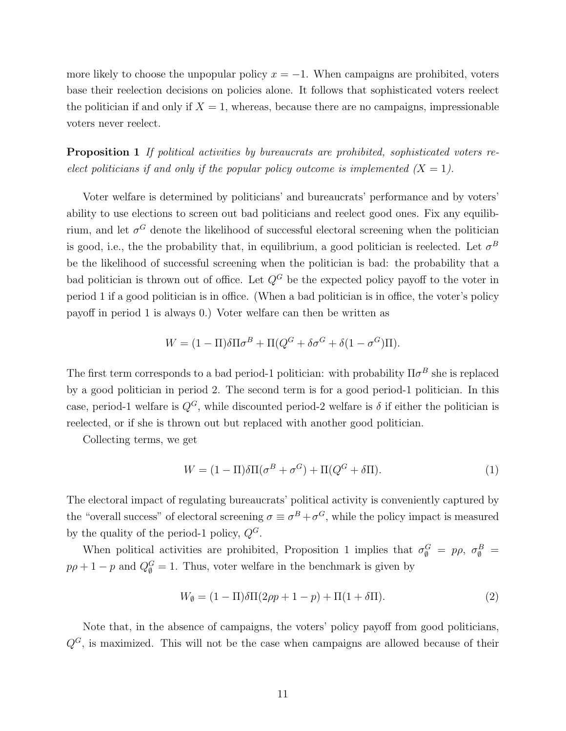more likely to choose the unpopular policy  $x = -1$ . When campaigns are prohibited, voters base their reelection decisions on policies alone. It follows that sophisticated voters reelect the politician if and only if  $X = 1$ , whereas, because there are no campaigns, impressionable voters never reelect.

Proposition 1 If political activities by bureaucrats are prohibited, sophisticated voters reelect politicians if and only if the popular policy outcome is implemented  $(X = 1)$ .

Voter welfare is determined by politicians' and bureaucrats' performance and by voters' ability to use elections to screen out bad politicians and reelect good ones. Fix any equilibrium, and let  $\sigma^G$  denote the likelihood of successful electoral screening when the politician is good, i.e., the the probability that, in equilibrium, a good politician is reelected. Let  $\sigma^B$ be the likelihood of successful screening when the politician is bad: the probability that a bad politician is thrown out of office. Let  $Q^G$  be the expected policy payoff to the voter in period 1 if a good politician is in office. (When a bad politician is in office, the voter's policy payoff in period 1 is always 0.) Voter welfare can then be written as

$$
W = (1 - \Pi)\delta\Pi\sigma^{B} + \Pi(Q^{G} + \delta\sigma^{G} + \delta(1 - \sigma^{G})\Pi).
$$

The first term corresponds to a bad period-1 politician: with probability  $\Pi \sigma^B$  she is replaced by a good politician in period 2. The second term is for a good period-1 politician. In this case, period-1 welfare is  $Q^G$ , while discounted period-2 welfare is  $\delta$  if either the politician is reelected, or if she is thrown out but replaced with another good politician.

Collecting terms, we get

$$
W = (1 - \Pi)\delta\Pi(\sigma^B + \sigma^G) + \Pi(Q^G + \delta\Pi). \tag{1}
$$

The electoral impact of regulating bureaucrats' political activity is conveniently captured by the "overall success" of electoral screening  $\sigma \equiv \sigma^B + \sigma^G$ , while the policy impact is measured by the quality of the period-1 policy,  $Q^G$ .

When political activities are prohibited, Proposition 1 implies that  $\sigma_{\emptyset}^G = p\rho$ ,  $\sigma_{\emptyset}^B =$  $p\rho + 1 - p$  and  $Q_{\emptyset}^G = 1$ . Thus, voter welfare in the benchmark is given by

$$
W_{\emptyset} = (1 - \Pi)\delta\Pi(2\rho p + 1 - p) + \Pi(1 + \delta\Pi). \tag{2}
$$

Note that, in the absence of campaigns, the voters' policy payoff from good politicians,  $Q^G$ , is maximized. This will not be the case when campaigns are allowed because of their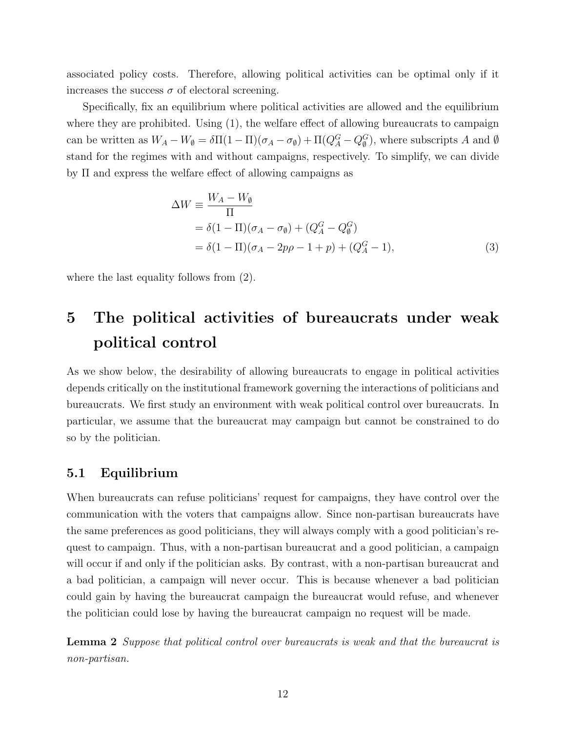associated policy costs. Therefore, allowing political activities can be optimal only if it increases the success  $\sigma$  of electoral screening.

Specifically, fix an equilibrium where political activities are allowed and the equilibrium where they are prohibited. Using  $(1)$ , the welfare effect of allowing bureaucrats to campaign can be written as  $W_A - W_\emptyset = \delta \Pi (1 - \Pi)(\sigma_A - \sigma_\emptyset) + \Pi (Q_A^G - Q_\emptyset^G)$ , where subscripts A and  $\emptyset$ stand for the regimes with and without campaigns, respectively. To simplify, we can divide by Π and express the welfare effect of allowing campaigns as

$$
\Delta W = \frac{W_A - W_{\emptyset}}{\Pi} \n= \delta (1 - \Pi)(\sigma_A - \sigma_{\emptyset}) + (Q_A^G - Q_{\emptyset}^G) \n= \delta (1 - \Pi)(\sigma_A - 2p\rho - 1 + p) + (Q_A^G - 1),
$$
\n(3)

where the last equality follows from (2).

## 5 The political activities of bureaucrats under weak political control

As we show below, the desirability of allowing bureaucrats to engage in political activities depends critically on the institutional framework governing the interactions of politicians and bureaucrats. We first study an environment with weak political control over bureaucrats. In particular, we assume that the bureaucrat may campaign but cannot be constrained to do so by the politician.

### 5.1 Equilibrium

When bureaucrats can refuse politicians' request for campaigns, they have control over the communication with the voters that campaigns allow. Since non-partisan bureaucrats have the same preferences as good politicians, they will always comply with a good politician's request to campaign. Thus, with a non-partisan bureaucrat and a good politician, a campaign will occur if and only if the politician asks. By contrast, with a non-partisan bureaucrat and a bad politician, a campaign will never occur. This is because whenever a bad politician could gain by having the bureaucrat campaign the bureaucrat would refuse, and whenever the politician could lose by having the bureaucrat campaign no request will be made.

Lemma 2 Suppose that political control over bureaucrats is weak and that the bureaucrat is non-partisan.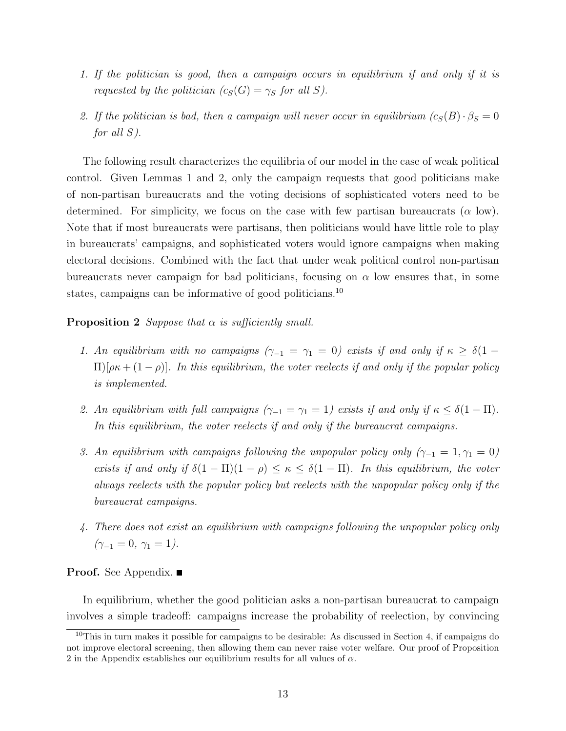- 1. If the politician is good, then a campaign occurs in equilibrium if and only if it is requested by the politician  $(c_S(G) = \gamma_S \text{ for all } S)$ .
- 2. If the politician is bad, then a campaign will never occur in equilibrium  $(c_S(B) \cdot \beta_S = 0$ for all S).

The following result characterizes the equilibria of our model in the case of weak political control. Given Lemmas 1 and 2, only the campaign requests that good politicians make of non-partisan bureaucrats and the voting decisions of sophisticated voters need to be determined. For simplicity, we focus on the case with few partisan bureaucrats ( $\alpha$  low). Note that if most bureaucrats were partisans, then politicians would have little role to play in bureaucrats' campaigns, and sophisticated voters would ignore campaigns when making electoral decisions. Combined with the fact that under weak political control non-partisan bureaucrats never campaign for bad politicians, focusing on  $\alpha$  low ensures that, in some states, campaigns can be informative of good politicians.<sup>10</sup>

### **Proposition 2** Suppose that  $\alpha$  is sufficiently small.

- 1. An equilibrium with no campaigns  $(\gamma_{-1} = \gamma_1 = 0)$  exists if and only if  $\kappa \geq \delta(1 \Pi$ [ $\rho \kappa + (1 - \rho)$ ]. In this equilibrium, the voter reelects if and only if the popular policy is implemented.
- 2. An equilibrium with full campaigns  $(\gamma_{-1} = \gamma_1 = 1)$  exists if and only if  $\kappa \leq \delta(1 \Pi)$ . In this equilibrium, the voter reelects if and only if the bureaucrat campaigns.
- 3. An equilibrium with campaigns following the unpopular policy only  $(\gamma_{-1} = 1, \gamma_1 = 0)$ exists if and only if  $\delta(1 - \Pi)(1 - \rho) \leq \kappa \leq \delta(1 - \Pi)$ . In this equilibrium, the voter always reelects with the popular policy but reelects with the unpopular policy only if the bureaucrat campaigns.
- 4. There does not exist an equilibrium with campaigns following the unpopular policy only  $(\gamma_{-1}=0, \gamma_1=1).$

**Proof.** See Appendix. ■

In equilibrium, whether the good politician asks a non-partisan bureaucrat to campaign involves a simple tradeoff: campaigns increase the probability of reelection, by convincing

<sup>10</sup>This in turn makes it possible for campaigns to be desirable: As discussed in Section 4, if campaigns do not improve electoral screening, then allowing them can never raise voter welfare. Our proof of Proposition 2 in the Appendix establishes our equilibrium results for all values of  $\alpha$ .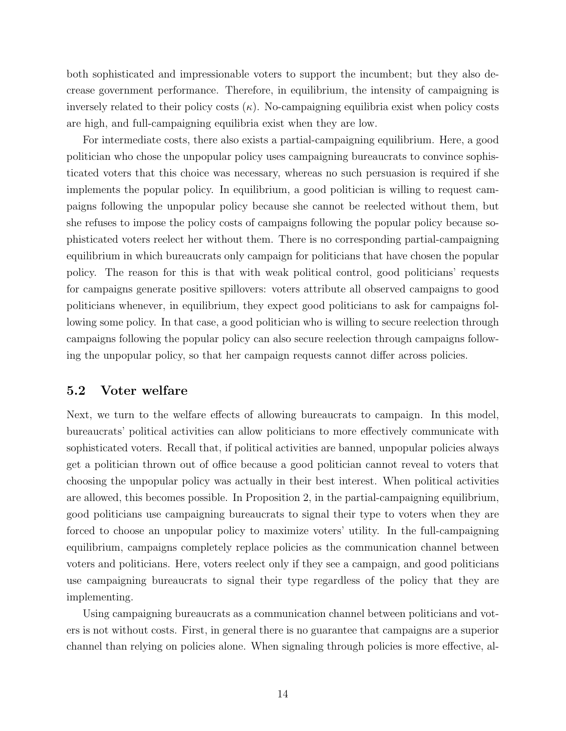both sophisticated and impressionable voters to support the incumbent; but they also decrease government performance. Therefore, in equilibrium, the intensity of campaigning is inversely related to their policy costs  $(\kappa)$ . No-campaigning equilibria exist when policy costs are high, and full-campaigning equilibria exist when they are low.

For intermediate costs, there also exists a partial-campaigning equilibrium. Here, a good politician who chose the unpopular policy uses campaigning bureaucrats to convince sophisticated voters that this choice was necessary, whereas no such persuasion is required if she implements the popular policy. In equilibrium, a good politician is willing to request campaigns following the unpopular policy because she cannot be reelected without them, but she refuses to impose the policy costs of campaigns following the popular policy because sophisticated voters reelect her without them. There is no corresponding partial-campaigning equilibrium in which bureaucrats only campaign for politicians that have chosen the popular policy. The reason for this is that with weak political control, good politicians' requests for campaigns generate positive spillovers: voters attribute all observed campaigns to good politicians whenever, in equilibrium, they expect good politicians to ask for campaigns following some policy. In that case, a good politician who is willing to secure reelection through campaigns following the popular policy can also secure reelection through campaigns following the unpopular policy, so that her campaign requests cannot differ across policies.

### 5.2 Voter welfare

Next, we turn to the welfare effects of allowing bureaucrats to campaign. In this model, bureaucrats' political activities can allow politicians to more effectively communicate with sophisticated voters. Recall that, if political activities are banned, unpopular policies always get a politician thrown out of office because a good politician cannot reveal to voters that choosing the unpopular policy was actually in their best interest. When political activities are allowed, this becomes possible. In Proposition 2, in the partial-campaigning equilibrium, good politicians use campaigning bureaucrats to signal their type to voters when they are forced to choose an unpopular policy to maximize voters' utility. In the full-campaigning equilibrium, campaigns completely replace policies as the communication channel between voters and politicians. Here, voters reelect only if they see a campaign, and good politicians use campaigning bureaucrats to signal their type regardless of the policy that they are implementing.

Using campaigning bureaucrats as a communication channel between politicians and voters is not without costs. First, in general there is no guarantee that campaigns are a superior channel than relying on policies alone. When signaling through policies is more effective, al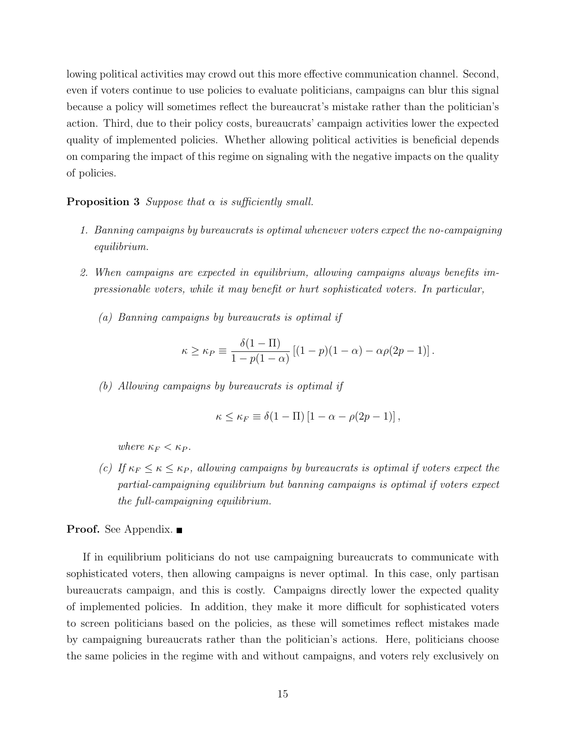lowing political activities may crowd out this more effective communication channel. Second, even if voters continue to use policies to evaluate politicians, campaigns can blur this signal because a policy will sometimes reflect the bureaucrat's mistake rather than the politician's action. Third, due to their policy costs, bureaucrats' campaign activities lower the expected quality of implemented policies. Whether allowing political activities is beneficial depends on comparing the impact of this regime on signaling with the negative impacts on the quality of policies.

#### **Proposition 3** Suppose that  $\alpha$  is sufficiently small.

- 1. Banning campaigns by bureaucrats is optimal whenever voters expect the no-campaigning equilibrium.
- 2. When campaigns are expected in equilibrium, allowing campaigns always benefits impressionable voters, while it may benefit or hurt sophisticated voters. In particular,
	- (a) Banning campaigns by bureaucrats is optimal if

$$
\kappa \ge \kappa_P \equiv \frac{\delta(1-\Pi)}{1-p(1-\alpha)} \left[ (1-p)(1-\alpha) - \alpha \rho (2p-1) \right].
$$

(b) Allowing campaigns by bureaucrats is optimal if

$$
\kappa \leq \kappa_F \equiv \delta(1 - \Pi) \left[1 - \alpha - \rho(2p - 1)\right],
$$

where  $\kappa_F < \kappa_P$ .

(c) If  $\kappa_F \leq \kappa \leq \kappa_P$ , allowing campaigns by bureaucrats is optimal if voters expect the partial-campaigning equilibrium but banning campaigns is optimal if voters expect the full-campaigning equilibrium.

### **Proof.** See Appendix. ■

If in equilibrium politicians do not use campaigning bureaucrats to communicate with sophisticated voters, then allowing campaigns is never optimal. In this case, only partisan bureaucrats campaign, and this is costly. Campaigns directly lower the expected quality of implemented policies. In addition, they make it more difficult for sophisticated voters to screen politicians based on the policies, as these will sometimes reflect mistakes made by campaigning bureaucrats rather than the politician's actions. Here, politicians choose the same policies in the regime with and without campaigns, and voters rely exclusively on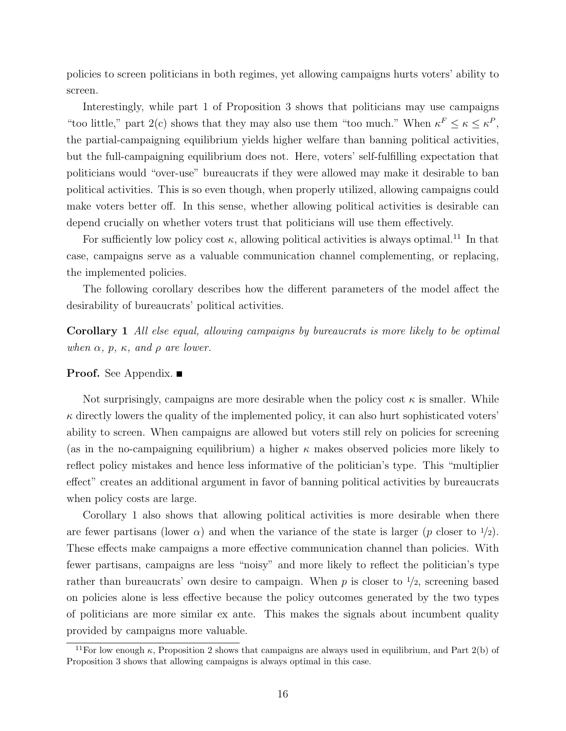policies to screen politicians in both regimes, yet allowing campaigns hurts voters' ability to screen.

Interestingly, while part 1 of Proposition 3 shows that politicians may use campaigns "too little," part 2(c) shows that they may also use them "too much." When  $\kappa^F \leq \kappa \leq \kappa^P$ , the partial-campaigning equilibrium yields higher welfare than banning political activities, but the full-campaigning equilibrium does not. Here, voters' self-fulfilling expectation that politicians would "over-use" bureaucrats if they were allowed may make it desirable to ban political activities. This is so even though, when properly utilized, allowing campaigns could make voters better off. In this sense, whether allowing political activities is desirable can depend crucially on whether voters trust that politicians will use them effectively.

For sufficiently low policy cost  $\kappa$ , allowing political activities is always optimal.<sup>11</sup> In that case, campaigns serve as a valuable communication channel complementing, or replacing, the implemented policies.

The following corollary describes how the different parameters of the model affect the desirability of bureaucrats' political activities.

Corollary 1 All else equal, allowing campaigns by bureaucrats is more likely to be optimal when  $\alpha$ , p,  $\kappa$ , and  $\rho$  are lower.

**Proof.** See Appendix. ■

Not surprisingly, campaigns are more desirable when the policy cost  $\kappa$  is smaller. While  $\kappa$  directly lowers the quality of the implemented policy, it can also hurt sophisticated voters' ability to screen. When campaigns are allowed but voters still rely on policies for screening (as in the no-campaigning equilibrium) a higher  $\kappa$  makes observed policies more likely to reflect policy mistakes and hence less informative of the politician's type. This "multiplier effect" creates an additional argument in favor of banning political activities by bureaucrats when policy costs are large.

Corollary 1 also shows that allowing political activities is more desirable when there are fewer partisans (lower  $\alpha$ ) and when the variance of the state is larger (p closer to  $\frac{1}{2}$ ). These effects make campaigns a more effective communication channel than policies. With fewer partisans, campaigns are less "noisy" and more likely to reflect the politician's type rather than bureaucrats' own desire to campaign. When p is closer to  $\frac{1}{2}$ , screening based on policies alone is less effective because the policy outcomes generated by the two types of politicians are more similar ex ante. This makes the signals about incumbent quality provided by campaigns more valuable.

<sup>&</sup>lt;sup>11</sup>For low enough  $\kappa$ , Proposition 2 shows that campaigns are always used in equilibrium, and Part 2(b) of Proposition 3 shows that allowing campaigns is always optimal in this case.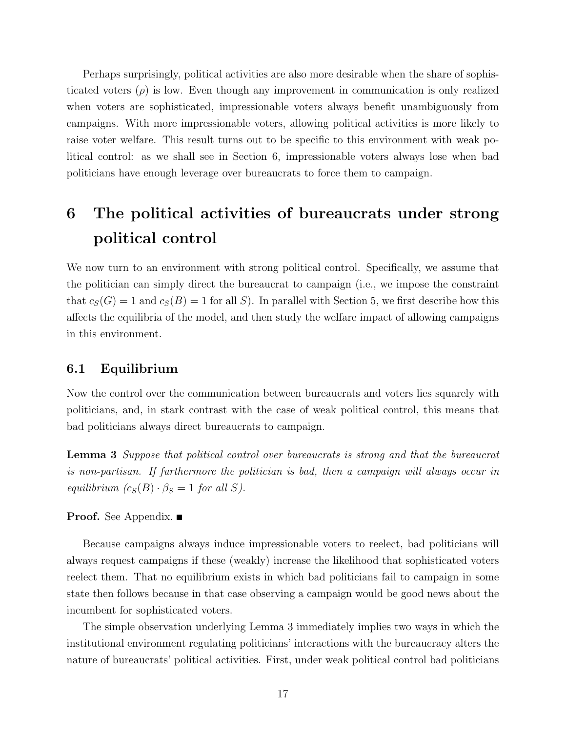Perhaps surprisingly, political activities are also more desirable when the share of sophisticated voters  $(\rho)$  is low. Even though any improvement in communication is only realized when voters are sophisticated, impressionable voters always benefit unambiguously from campaigns. With more impressionable voters, allowing political activities is more likely to raise voter welfare. This result turns out to be specific to this environment with weak political control: as we shall see in Section 6, impressionable voters always lose when bad politicians have enough leverage over bureaucrats to force them to campaign.

## 6 The political activities of bureaucrats under strong political control

We now turn to an environment with strong political control. Specifically, we assume that the politician can simply direct the bureaucrat to campaign (i.e., we impose the constraint that  $c_S(G) = 1$  and  $c_S(B) = 1$  for all S). In parallel with Section 5, we first describe how this affects the equilibria of the model, and then study the welfare impact of allowing campaigns in this environment.

### 6.1 Equilibrium

Now the control over the communication between bureaucrats and voters lies squarely with politicians, and, in stark contrast with the case of weak political control, this means that bad politicians always direct bureaucrats to campaign.

Lemma 3 Suppose that political control over bureaucrats is strong and that the bureaucrat is non-partisan. If furthermore the politician is bad, then a campaign will always occur in equilibrium  $(c_S(B) \cdot \beta_S = 1$  for all S).

### **Proof.** See Appendix. ■

Because campaigns always induce impressionable voters to reelect, bad politicians will always request campaigns if these (weakly) increase the likelihood that sophisticated voters reelect them. That no equilibrium exists in which bad politicians fail to campaign in some state then follows because in that case observing a campaign would be good news about the incumbent for sophisticated voters.

The simple observation underlying Lemma 3 immediately implies two ways in which the institutional environment regulating politicians' interactions with the bureaucracy alters the nature of bureaucrats' political activities. First, under weak political control bad politicians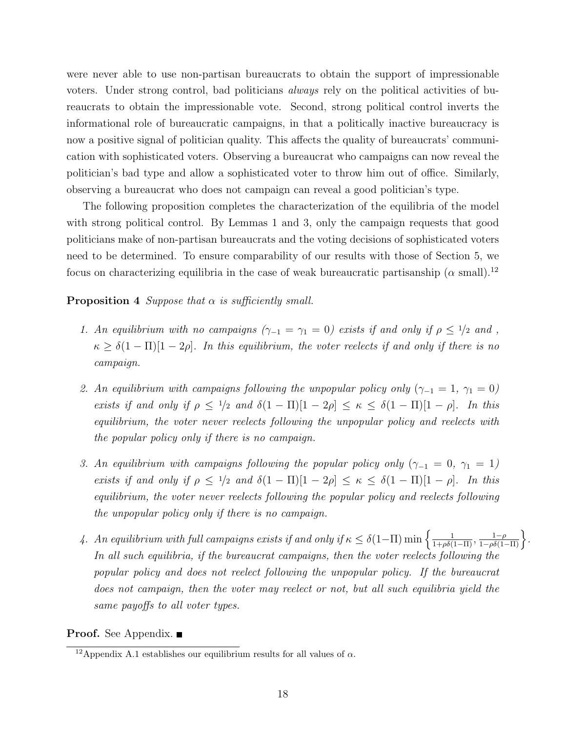were never able to use non-partisan bureaucrats to obtain the support of impressionable voters. Under strong control, bad politicians always rely on the political activities of bureaucrats to obtain the impressionable vote. Second, strong political control inverts the informational role of bureaucratic campaigns, in that a politically inactive bureaucracy is now a positive signal of politician quality. This affects the quality of bureaucrats' communication with sophisticated voters. Observing a bureaucrat who campaigns can now reveal the politician's bad type and allow a sophisticated voter to throw him out of office. Similarly, observing a bureaucrat who does not campaign can reveal a good politician's type.

The following proposition completes the characterization of the equilibria of the model with strong political control. By Lemmas 1 and 3, only the campaign requests that good politicians make of non-partisan bureaucrats and the voting decisions of sophisticated voters need to be determined. To ensure comparability of our results with those of Section 5, we focus on characterizing equilibria in the case of weak bureaucratic partisanship ( $\alpha$  small).<sup>12</sup>

#### **Proposition 4** Suppose that  $\alpha$  is sufficiently small.

- 1. An equilibrium with no campaigns  $(\gamma_{-1} = \gamma_1 = 0)$  exists if and only if  $\rho \leq \frac{1}{2}$  and,  $\kappa \geq \delta(1-\Pi)[1-2\rho]$ . In this equilibrium, the voter reelects if and only if there is no campaign.
- 2. An equilibrium with campaigns following the unpopular policy only  $(\gamma_{-1} = 1, \gamma_1 = 0)$ exists if and only if  $\rho \leq 1/2$  and  $\delta(1 - \Pi)[1 - 2\rho] \leq \kappa \leq \delta(1 - \Pi)[1 - \rho]$ . In this equilibrium, the voter never reelects following the unpopular policy and reelects with the popular policy only if there is no campaign.
- 3. An equilibrium with campaigns following the popular policy only  $(\gamma_{-1} = 0, \gamma_1 = 1)$ exists if and only if  $\rho \leq 1/2$  and  $\delta(1 - \Pi)[1 - 2\rho] \leq \kappa \leq \delta(1 - \Pi)[1 - \rho]$ . In this equilibrium, the voter never reelects following the popular policy and reelects following the unpopular policy only if there is no campaign.
- 4. An equilibrium with full campaigns exists if and only if  $\kappa \leq \delta(1-\Pi) \min\left\{\frac{1}{1+\rho\delta(1-\Pi)}, \frac{1-\rho}{1-\rho\delta(1-\Pi)}\right\}.$ In all such equilibria, if the bureaucrat campaigns, then the voter reelects following the popular policy and does not reelect following the unpopular policy. If the bureaucrat does not campaign, then the voter may reelect or not, but all such equilibria yield the same payoffs to all voter types.

**Proof.** See Appendix. ■

<sup>&</sup>lt;sup>12</sup>Appendix A.1 establishes our equilibrium results for all values of  $\alpha$ .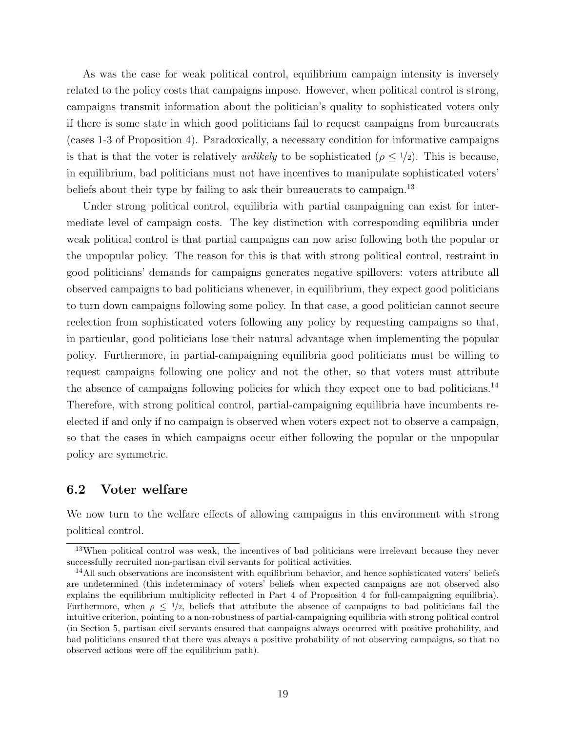As was the case for weak political control, equilibrium campaign intensity is inversely related to the policy costs that campaigns impose. However, when political control is strong, campaigns transmit information about the politician's quality to sophisticated voters only if there is some state in which good politicians fail to request campaigns from bureaucrats (cases 1-3 of Proposition 4). Paradoxically, a necessary condition for informative campaigns is that is that the voter is relatively unlikely to be sophisticated ( $\rho \leq 1/2$ ). This is because, in equilibrium, bad politicians must not have incentives to manipulate sophisticated voters' beliefs about their type by failing to ask their bureaucrats to campaign.<sup>13</sup>

Under strong political control, equilibria with partial campaigning can exist for intermediate level of campaign costs. The key distinction with corresponding equilibria under weak political control is that partial campaigns can now arise following both the popular or the unpopular policy. The reason for this is that with strong political control, restraint in good politicians' demands for campaigns generates negative spillovers: voters attribute all observed campaigns to bad politicians whenever, in equilibrium, they expect good politicians to turn down campaigns following some policy. In that case, a good politician cannot secure reelection from sophisticated voters following any policy by requesting campaigns so that, in particular, good politicians lose their natural advantage when implementing the popular policy. Furthermore, in partial-campaigning equilibria good politicians must be willing to request campaigns following one policy and not the other, so that voters must attribute the absence of campaigns following policies for which they expect one to bad politicians.<sup>14</sup> Therefore, with strong political control, partial-campaigning equilibria have incumbents reelected if and only if no campaign is observed when voters expect not to observe a campaign, so that the cases in which campaigns occur either following the popular or the unpopular policy are symmetric.

### 6.2 Voter welfare

We now turn to the welfare effects of allowing campaigns in this environment with strong political control.

<sup>&</sup>lt;sup>13</sup>When political control was weak, the incentives of bad politicians were irrelevant because they never successfully recruited non-partisan civil servants for political activities.

<sup>&</sup>lt;sup>14</sup>All such observations are inconsistent with equilibrium behavior, and hence sophisticated voters' beliefs are undetermined (this indeterminacy of voters' beliefs when expected campaigns are not observed also explains the equilibrium multiplicity reflected in Part 4 of Proposition 4 for full-campaigning equilibria). Furthermore, when  $\rho \leq 1/2$ , beliefs that attribute the absence of campaigns to bad politicians fail the intuitive criterion, pointing to a non-robustness of partial-campaigning equilibria with strong political control (in Section 5, partisan civil servants ensured that campaigns always occurred with positive probability, and bad politicians ensured that there was always a positive probability of not observing campaigns, so that no observed actions were off the equilibrium path).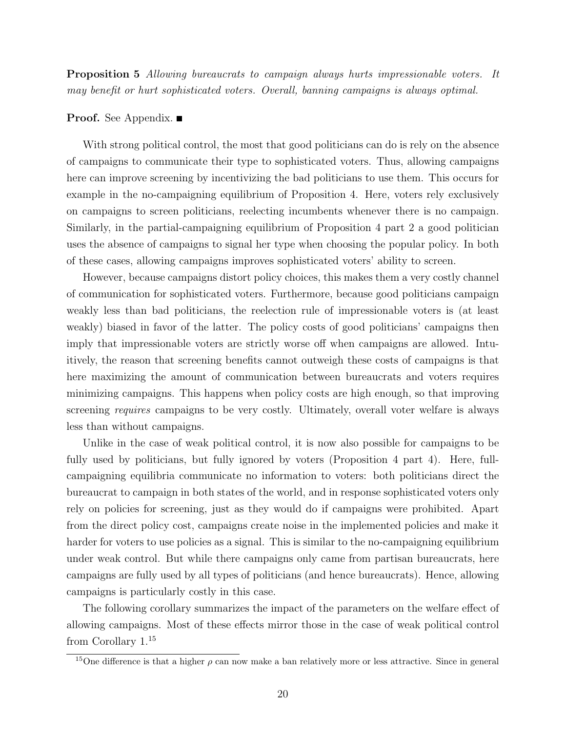Proposition 5 Allowing bureaucrats to campaign always hurts impressionable voters. It may benefit or hurt sophisticated voters. Overall, banning campaigns is always optimal.

### **Proof.** See Appendix. ■

With strong political control, the most that good politicians can do is rely on the absence of campaigns to communicate their type to sophisticated voters. Thus, allowing campaigns here can improve screening by incentivizing the bad politicians to use them. This occurs for example in the no-campaigning equilibrium of Proposition 4. Here, voters rely exclusively on campaigns to screen politicians, reelecting incumbents whenever there is no campaign. Similarly, in the partial-campaigning equilibrium of Proposition 4 part 2 a good politician uses the absence of campaigns to signal her type when choosing the popular policy. In both of these cases, allowing campaigns improves sophisticated voters' ability to screen.

However, because campaigns distort policy choices, this makes them a very costly channel of communication for sophisticated voters. Furthermore, because good politicians campaign weakly less than bad politicians, the reelection rule of impressionable voters is (at least weakly) biased in favor of the latter. The policy costs of good politicians' campaigns then imply that impressionable voters are strictly worse off when campaigns are allowed. Intuitively, the reason that screening benefits cannot outweigh these costs of campaigns is that here maximizing the amount of communication between bureaucrats and voters requires minimizing campaigns. This happens when policy costs are high enough, so that improving screening *requires* campaigns to be very costly. Ultimately, overall voter welfare is always less than without campaigns.

Unlike in the case of weak political control, it is now also possible for campaigns to be fully used by politicians, but fully ignored by voters (Proposition 4 part 4). Here, fullcampaigning equilibria communicate no information to voters: both politicians direct the bureaucrat to campaign in both states of the world, and in response sophisticated voters only rely on policies for screening, just as they would do if campaigns were prohibited. Apart from the direct policy cost, campaigns create noise in the implemented policies and make it harder for voters to use policies as a signal. This is similar to the no-campaigning equilibrium under weak control. But while there campaigns only came from partisan bureaucrats, here campaigns are fully used by all types of politicians (and hence bureaucrats). Hence, allowing campaigns is particularly costly in this case.

The following corollary summarizes the impact of the parameters on the welfare effect of allowing campaigns. Most of these effects mirror those in the case of weak political control from Corollary  $1.^{\bf 15}$ 

<sup>&</sup>lt;sup>15</sup>One difference is that a higher  $\rho$  can now make a ban relatively more or less attractive. Since in general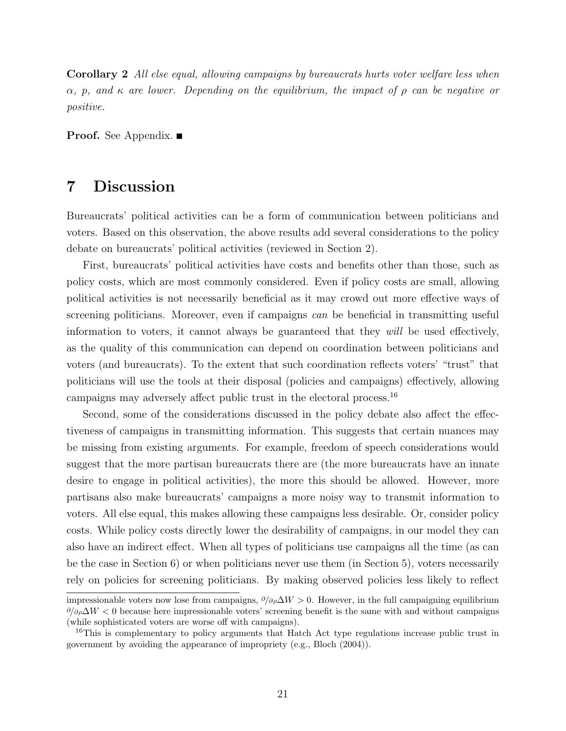Corollary 2 All else equal, allowing campaigns by bureaucrats hurts voter welfare less when  $\alpha$ , p, and  $\kappa$  are lower. Depending on the equilibrium, the impact of  $\rho$  can be negative or positive.

**Proof.** See Appendix. ■

## 7 Discussion

Bureaucrats' political activities can be a form of communication between politicians and voters. Based on this observation, the above results add several considerations to the policy debate on bureaucrats' political activities (reviewed in Section 2).

First, bureaucrats' political activities have costs and benefits other than those, such as policy costs, which are most commonly considered. Even if policy costs are small, allowing political activities is not necessarily beneficial as it may crowd out more effective ways of screening politicians. Moreover, even if campaigns can be beneficial in transmitting useful information to voters, it cannot always be guaranteed that they will be used effectively, as the quality of this communication can depend on coordination between politicians and voters (and bureaucrats). To the extent that such coordination reflects voters' "trust" that politicians will use the tools at their disposal (policies and campaigns) effectively, allowing campaigns may adversely affect public trust in the electoral process.<sup>16</sup>

Second, some of the considerations discussed in the policy debate also affect the effectiveness of campaigns in transmitting information. This suggests that certain nuances may be missing from existing arguments. For example, freedom of speech considerations would suggest that the more partisan bureaucrats there are (the more bureaucrats have an innate desire to engage in political activities), the more this should be allowed. However, more partisans also make bureaucrats' campaigns a more noisy way to transmit information to voters. All else equal, this makes allowing these campaigns less desirable. Or, consider policy costs. While policy costs directly lower the desirability of campaigns, in our model they can also have an indirect effect. When all types of politicians use campaigns all the time (as can be the case in Section 6) or when politicians never use them (in Section 5), voters necessarily rely on policies for screening politicians. By making observed policies less likely to reflect

impressionable voters now lose from campaigns,  $\partial/\partial \rho \Delta W > 0$ . However, in the full campaigning equilibrium  $\partial/\partial \rho \Delta W < 0$  because here impressionable voters' screening benefit is the same with and without campaigns (while sophisticated voters are worse off with campaigns).

<sup>&</sup>lt;sup>16</sup>This is complementary to policy arguments that Hatch Act type regulations increase public trust in government by avoiding the appearance of impropriety (e.g., Bloch (2004)).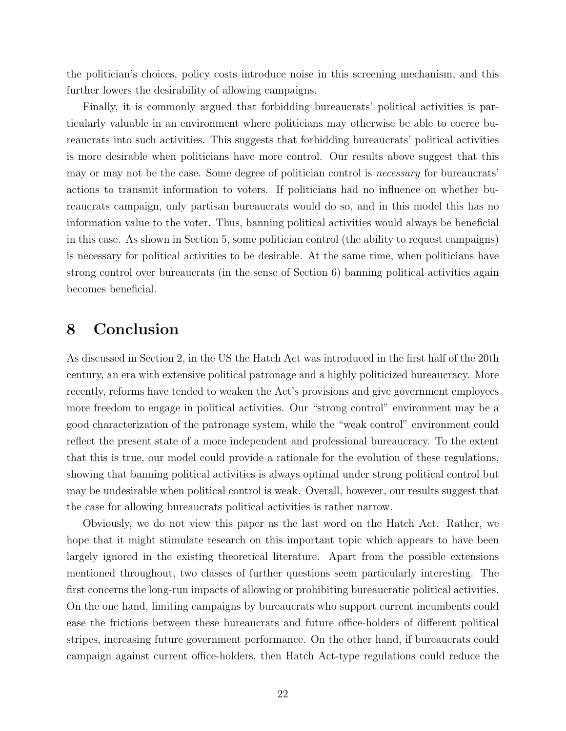the politician's choices, policy costs introduce noise in this screening mechanism, and this further lowers the desirability of allowing campaigns.

Finally, it is commonly argued that forbidding bureaucrats' political activities is particularly valuable in an environment where politicians may otherwise be able to coerce bureaucrats into such activities. This suggests that forbidding bureaucrats' political activities is more desirable when politicians have more control. Our results above suggest that this may or may not be the case. Some degree of politician control is necessary for bureaucrats' actions to transmit information to voters. If politicians had no influence on whether bureaucrats campaign, only partisan bureaucrats would do so, and in this model this has no information value to the voter. Thus, banning political activities would always be beneficial in this case. As shown in Section 5, some politician control (the ability to request campaigns) is necessary for political activities to be desirable. At the same time, when politicians have strong control over bureaucrats (in the sense of Section 6) banning political activities again becomes beneficial.

### 8 Conclusion

As discussed in Section 2, in the US the Hatch Act was introduced in the first half of the 20th century, an era with extensive political patronage and a highly politicized bureaucracy. More recently, reforms have tended to weaken the Act's provisions and give government employees more freedom to engage in political activities. Our "strong control" environment may be a good characterization of the patronage system, while the "weak control" environment could reflect the present state of a more independent and professional bureaucracy. To the extent that this is true, our model could provide a rationale for the evolution of these regulations, showing that banning political activities is always optimal under strong political control but may be undesirable when political control is weak. Overall, however, our results suggest that the case for allowing bureaucrats political activities is rather narrow.

Obviously, we do not view this paper as the last word on the Hatch Act. Rather, we hope that it might stimulate research on this important topic which appears to have been largely ignored in the existing theoretical literature. Apart from the possible extensions mentioned throughout, two classes of further questions seem particularly interesting. The first concerns the long-run impacts of allowing or prohibiting bureaucratic political activities. On the one hand, limiting campaigns by bureaucrats who support current incumbents could ease the frictions between these bureaucrats and future office-holders of different political stripes, increasing future government performance. On the other hand, if bureaucrats could campaign against current office-holders, then Hatch Act-type regulations could reduce the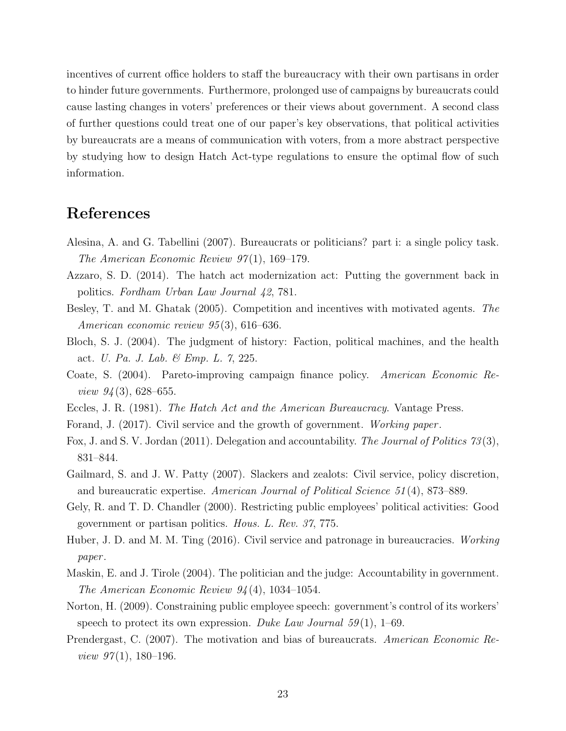incentives of current office holders to staff the bureaucracy with their own partisans in order to hinder future governments. Furthermore, prolonged use of campaigns by bureaucrats could cause lasting changes in voters' preferences or their views about government. A second class of further questions could treat one of our paper's key observations, that political activities by bureaucrats are a means of communication with voters, from a more abstract perspective by studying how to design Hatch Act-type regulations to ensure the optimal flow of such information.

## References

- Alesina, A. and G. Tabellini (2007). Bureaucrats or politicians? part i: a single policy task. The American Economic Review  $97(1)$ , 169–179.
- Azzaro, S. D. (2014). The hatch act modernization act: Putting the government back in politics. Fordham Urban Law Journal 42, 781.
- Besley, T. and M. Ghatak (2005). Competition and incentives with motivated agents. The American economic review 95 (3), 616–636.
- Bloch, S. J. (2004). The judgment of history: Faction, political machines, and the health act. U. Pa. J. Lab. & Emp. L. 7, 225.
- Coate, S. (2004). Pareto-improving campaign finance policy. American Economic Re*view 94* (3), 628–655.
- Eccles, J. R. (1981). The Hatch Act and the American Bureaucracy. Vantage Press.
- Forand, J. (2017). Civil service and the growth of government. Working paper .
- Fox, J. and S. V. Jordan (2011). Delegation and accountability. The Journal of Politics 73 (3), 831–844.
- Gailmard, S. and J. W. Patty (2007). Slackers and zealots: Civil service, policy discretion, and bureaucratic expertise. American Journal of Political Science 51 (4), 873–889.
- Gely, R. and T. D. Chandler (2000). Restricting public employees' political activities: Good government or partisan politics. Hous. L. Rev. 37, 775.
- Huber, J. D. and M. M. Ting (2016). Civil service and patronage in bureaucracies. Working paper .
- Maskin, E. and J. Tirole (2004). The politician and the judge: Accountability in government. The American Economic Review 94 (4), 1034–1054.
- Norton, H. (2009). Constraining public employee speech: government's control of its workers' speech to protect its own expression. Duke Law Journal  $59(1)$ , 1–69.
- Prendergast, C. (2007). The motivation and bias of bureaucrats. American Economic Re*view 97* $(1)$ , 180–196.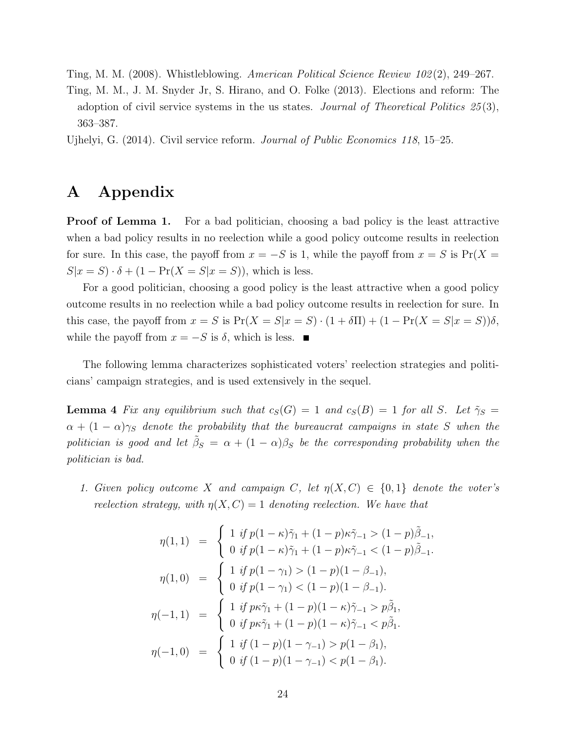Ting, M. M. (2008). Whistleblowing. American Political Science Review 102 (2), 249–267.

Ting, M. M., J. M. Snyder Jr, S. Hirano, and O. Folke (2013). Elections and reform: The adoption of civil service systems in the us states. Journal of Theoretical Politics  $25(3)$ , 363–387.

Ujhelyi, G. (2014). Civil service reform. Journal of Public Economics 118, 15–25.

## A Appendix

**Proof of Lemma 1.** For a bad politician, choosing a bad policy is the least attractive when a bad policy results in no reelection while a good policy outcome results in reelection for sure. In this case, the payoff from  $x = -S$  is 1, while the payoff from  $x = S$  is Pr(X =  $S|x = S) \cdot \delta + (1 - \Pr(X = S|x = S))$ , which is less.

For a good politician, choosing a good policy is the least attractive when a good policy outcome results in no reelection while a bad policy outcome results in reelection for sure. In this case, the payoff from  $x = S$  is  $Pr(X = S | x = S) \cdot (1 + \delta \Pi) + (1 - Pr(X = S | x = S)) \delta$ . while the payoff from  $x = -S$  is  $\delta$ , which is less. ■

The following lemma characterizes sophisticated voters' reelection strategies and politicians' campaign strategies, and is used extensively in the sequel.

**Lemma 4** Fix any equilibrium such that  $c_S(G) = 1$  and  $c_S(B) = 1$  for all S. Let  $\tilde{\gamma}_S =$  $\alpha + (1 - \alpha)\gamma_S$  denote the probability that the bureaucrat campaigns in state S when the politician is good and let  $\tilde{\beta}_S = \alpha + (1-\alpha)\beta_S$  be the corresponding probability when the politician is bad.

1. Given policy outcome X and campaign C, let  $\eta(X, C) \in \{0, 1\}$  denote the voter's reelection strategy, with  $\eta(X, C) = 1$  denoting reelection. We have that

$$
\eta(1,1) = \begin{cases}\n1 & \text{if } p(1-\kappa)\tilde{\gamma}_1 + (1-p)\kappa \tilde{\gamma}_{-1} > (1-p)\tilde{\beta}_{-1}, \\
0 & \text{if } p(1-\kappa)\tilde{\gamma}_1 + (1-p)\kappa \tilde{\gamma}_{-1} < (1-p)\tilde{\beta}_{-1}.\n\end{cases}
$$
\n
$$
\eta(1,0) = \begin{cases}\n1 & \text{if } p(1-\gamma_1) > (1-p)(1-\beta_{-1}), \\
0 & \text{if } p(1-\gamma_1) < (1-p)(1-\beta_{-1}).\n\end{cases}
$$
\n
$$
\eta(-1,1) = \begin{cases}\n1 & \text{if } p\kappa \tilde{\gamma}_1 + (1-p)(1-\kappa)\tilde{\gamma}_{-1} > p\tilde{\beta}_1, \\
0 & \text{if } p\kappa \tilde{\gamma}_1 + (1-p)(1-\kappa)\tilde{\gamma}_{-1} < p\tilde{\beta}_1.\n\end{cases}
$$
\n
$$
\eta(-1,0) = \begin{cases}\n1 & \text{if } (1-p)(1-\gamma_{-1}) > p(1-\beta_1), \\
0 & \text{if } (1-p)(1-\gamma_{-1}) < p(1-\beta_1).\n\end{cases}
$$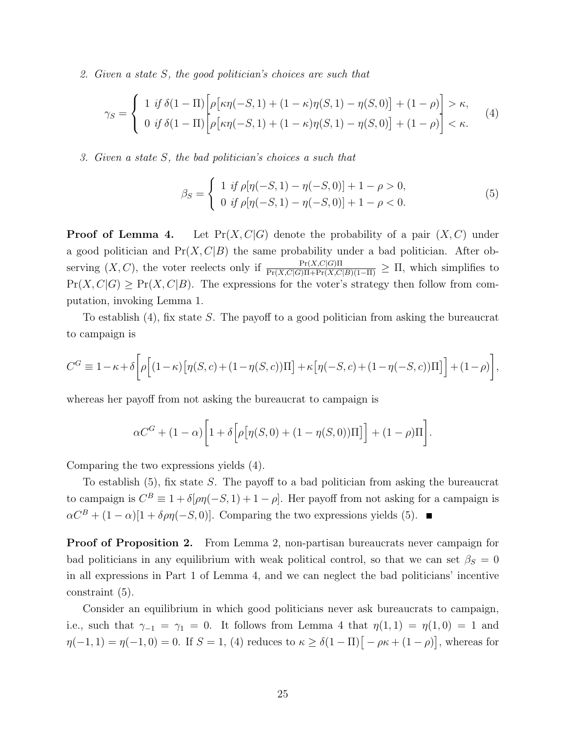2. Given a state S, the good politician's choices are such that

$$
\gamma_S = \begin{cases} 1 & \text{if } \delta(1-\Pi) \left[ \rho \left[ \kappa \eta(-S,1) + (1-\kappa)\eta(S,1) - \eta(S,0) \right] + (1-\rho) \right] > \kappa, \\ 0 & \text{if } \delta(1-\Pi) \left[ \rho \left[ \kappa \eta(-S,1) + (1-\kappa)\eta(S,1) - \eta(S,0) \right] + (1-\rho) \right] < \kappa. \end{cases}
$$
(4)

3. Given a state S, the bad politician's choices a such that

$$
\beta_S = \begin{cases} 1 & \text{if } \rho[\eta(-S, 1) - \eta(-S, 0)] + 1 - \rho > 0, \\ 0 & \text{if } \rho[\eta(-S, 1) - \eta(-S, 0)] + 1 - \rho < 0. \end{cases}
$$
(5)

**Proof of Lemma 4.** Let  $Pr(X, C|G)$  denote the probability of a pair  $(X, C)$  under a good politician and  $Pr(X, C|B)$  the same probability under a bad politician. After observing  $(X, C)$ , the voter reelects only if  $\frac{\Pr(X, C|G)\Pi}{\Pr(X, C|G)\Pi + \Pr(X, C|B)(1-\Pi)} \geq \Pi$ , which simplifies to  $Pr(X, C|G) \geq Pr(X, C|B)$ . The expressions for the voter's strategy then follow from computation, invoking Lemma 1.

To establish (4), fix state S. The payoff to a good politician from asking the bureaucrat to campaign is

$$
C^{G} \equiv 1 - \kappa + \delta \left[ \rho \left[ (1 - \kappa) \left[ \eta(S, c) + (1 - \eta(S, c)) \Pi \right] + \kappa \left[ \eta(-S, c) + (1 - \eta(-S, c)) \Pi \right] \right] + (1 - \rho) \right],
$$

whereas her payoff from not asking the bureaucrat to campaign is

$$
\alpha C^{G} + (1 - \alpha) \bigg[ 1 + \delta \bigg[ \rho \big[ \eta(S, 0) + (1 - \eta(S, 0)) \Pi \big] \bigg] + (1 - \rho) \Pi \bigg].
$$

Comparing the two expressions yields (4).

To establish (5), fix state S. The payoff to a bad politician from asking the bureaucrat to campaign is  $C^B \equiv 1 + \delta[\rho \eta(-S, 1) + 1 - \rho]$ . Her payoff from not asking for a campaign is  $\alpha C^{B} + (1 - \alpha)[1 + \delta \rho \eta(-S, 0)].$  Comparing the two expressions yields (5).

Proof of Proposition 2. From Lemma 2, non-partisan bureaucrats never campaign for bad politicians in any equilibrium with weak political control, so that we can set  $\beta_S = 0$ in all expressions in Part 1 of Lemma 4, and we can neglect the bad politicians' incentive constraint (5).

Consider an equilibrium in which good politicians never ask bureaucrats to campaign, i.e., such that  $\gamma_{-1} = \gamma_1 = 0$ . It follows from Lemma 4 that  $\eta(1,1) = \eta(1,0) = 1$  and  $\eta(-1,1) = \eta(-1,0) = 0$ . If  $S = 1$ , (4) reduces to  $\kappa \geq \delta(1-\Pi)\big[-\rho\kappa + (1-\rho)\big]$ , whereas for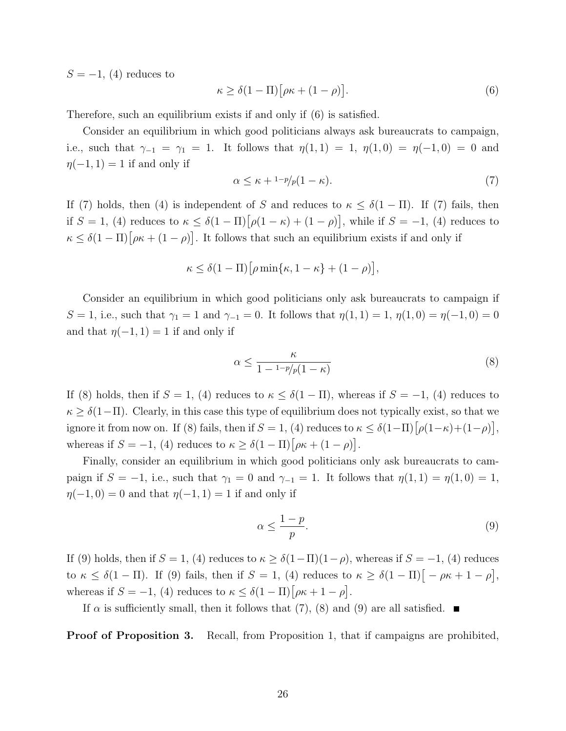$S = -1$ , (4) reduces to

$$
\kappa \ge \delta(1 - \Pi) \big[ \rho \kappa + (1 - \rho) \big]. \tag{6}
$$

Therefore, such an equilibrium exists if and only if (6) is satisfied.

Consider an equilibrium in which good politicians always ask bureaucrats to campaign, i.e., such that  $\gamma_{-1} = \gamma_1 = 1$ . It follows that  $\eta(1,1) = 1$ ,  $\eta(1,0) = \eta(-1,0) = 0$  and  $\eta(-1, 1) = 1$  if and only if

$$
\alpha \le \kappa + 1 - p/p(1 - \kappa). \tag{7}
$$

If (7) holds, then (4) is independent of S and reduces to  $\kappa \leq \delta(1-\Pi)$ . If (7) fails, then if  $S = 1$ , (4) reduces to  $\kappa \leq \delta(1 - \Pi) [\rho(1 - \kappa) + (1 - \rho)],$  while if  $S = -1$ , (4) reduces to  $\kappa \leq \delta(1-\Pi)\big[\rho\kappa + (1-\rho)\big]$ . It follows that such an equilibrium exists if and only if

$$
\kappa \leq \delta(1-\Pi) \big[\rho \min\{\kappa, 1-\kappa\} + (1-\rho)\big],
$$

Consider an equilibrium in which good politicians only ask bureaucrats to campaign if S = 1, i.e., such that  $\gamma_1 = 1$  and  $\gamma_{-1} = 0$ . It follows that  $\eta(1, 1) = 1$ ,  $\eta(1, 0) = \eta(-1, 0) = 0$ and that  $\eta(-1, 1) = 1$  if and only if

$$
\alpha \le \frac{\kappa}{1 - \frac{1 - p}{p(1 - \kappa)}}\tag{8}
$$

If (8) holds, then if  $S = 1$ , (4) reduces to  $\kappa \leq \delta(1 - \Pi)$ , whereas if  $S = -1$ , (4) reduces to  $\kappa \geq \delta(1-\Pi)$ . Clearly, in this case this type of equilibrium does not typically exist, so that we ignore it from now on. If (8) fails, then if  $S = 1$ , (4) reduces to  $\kappa \leq \delta(1-\Pi)\lceil \rho(1-\kappa)+(1-\rho)\rceil$ , whereas if  $S = -1$ , (4) reduces to  $\kappa \geq \delta(1 - \Pi) [\rho \kappa + (1 - \rho)].$ 

Finally, consider an equilibrium in which good politicians only ask bureaucrats to campaign if  $S = -1$ , i.e., such that  $\gamma_1 = 0$  and  $\gamma_{-1} = 1$ . It follows that  $\eta(1,1) = \eta(1,0) = 1$ ,  $\eta(-1, 0) = 0$  and that  $\eta(-1, 1) = 1$  if and only if

$$
\alpha \le \frac{1-p}{p}.\tag{9}
$$

If (9) holds, then if  $S = 1$ , (4) reduces to  $\kappa \geq \delta(1-\Pi)(1-\rho)$ , whereas if  $S = -1$ , (4) reduces to  $\kappa \leq \delta(1-\Pi)$ . If (9) fails, then if  $S=1$ , (4) reduces to  $\kappa \geq \delta(1-\Pi)\big[-\rho\kappa+1-\rho\big],$ whereas if  $S = -1$ , (4) reduces to  $\kappa \leq \delta(1 - \Pi) [\rho \kappa + 1 - \rho].$ 

If  $\alpha$  is sufficiently small, then it follows that (7), (8) and (9) are all satisfied.

**Proof of Proposition 3.** Recall, from Proposition 1, that if campaigns are prohibited,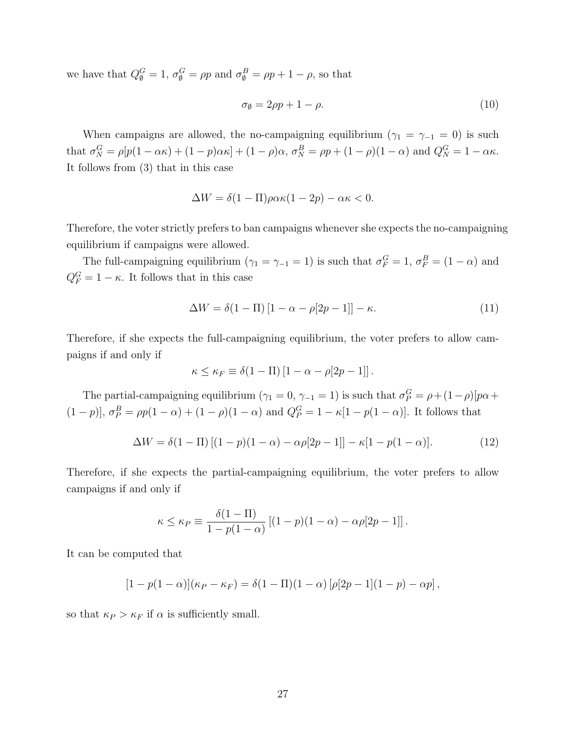we have that  $Q_{\emptyset}^G = 1$ ,  $\sigma_{\emptyset}^G = \rho p$  and  $\sigma_{\emptyset}^B = \rho p + 1 - \rho$ , so that

$$
\sigma_{\emptyset} = 2\rho p + 1 - \rho. \tag{10}
$$

When campaigns are allowed, the no-campaigning equilibrium ( $\gamma_1 = \gamma_{-1} = 0$ ) is such that  $\sigma_N^G = \rho[p(1-\alpha\kappa) + (1-p)\alpha\kappa] + (1-\rho)\alpha$ ,  $\sigma_N^B = \rho p + (1-\rho)(1-\alpha)$  and  $Q_N^G = 1-\alpha\kappa$ . It follows from (3) that in this case

$$
\Delta W = \delta(1 - \Pi)\rho\alpha\kappa(1 - 2p) - \alpha\kappa < 0.
$$

Therefore, the voter strictly prefers to ban campaigns whenever she expects the no-campaigning equilibrium if campaigns were allowed.

The full-campaigning equilibrium  $(\gamma_1 = \gamma_{-1} = 1)$  is such that  $\sigma_F^G = 1$ ,  $\sigma_F^B = (1 - \alpha)$  and  $Q_F^G = 1 - \kappa$ . It follows that in this case

$$
\Delta W = \delta(1 - \Pi) \left[ 1 - \alpha - \rho [2p - 1] \right] - \kappa. \tag{11}
$$

Therefore, if she expects the full-campaigning equilibrium, the voter prefers to allow campaigns if and only if

$$
\kappa \leq \kappa_F \equiv \delta(1 - \Pi) [1 - \alpha - \rho[2p - 1]].
$$

The partial-campaigning equilibrium  $(\gamma_1 = 0, \gamma_{-1} = 1)$  is such that  $\sigma_P^G = \rho + (1 - \rho)[p\alpha +$  $(1-p)$ ,  $\sigma_P^B = \rho p(1-\alpha) + (1-\rho)(1-\alpha)$  and  $Q_P^G = 1 - \kappa[1-p(1-\alpha)]$ . It follows that

$$
\Delta W = \delta(1 - \Pi) \left[ (1 - p)(1 - \alpha) - \alpha \rho [2p - 1] \right] - \kappa [1 - p(1 - \alpha)]. \tag{12}
$$

Therefore, if she expects the partial-campaigning equilibrium, the voter prefers to allow campaigns if and only if

$$
\kappa \leq \kappa_P \equiv \frac{\delta(1-\Pi)}{1-p(1-\alpha)} \left[ (1-p)(1-\alpha) - \alpha \rho [2p-1] \right].
$$

It can be computed that

$$
[1 - p(1 - \alpha)](\kappa_P - \kappa_F) = \delta(1 - \Pi)(1 - \alpha) [\rho[2p - 1](1 - p) - \alpha p],
$$

so that  $\kappa_P > \kappa_F$  if  $\alpha$  is sufficiently small.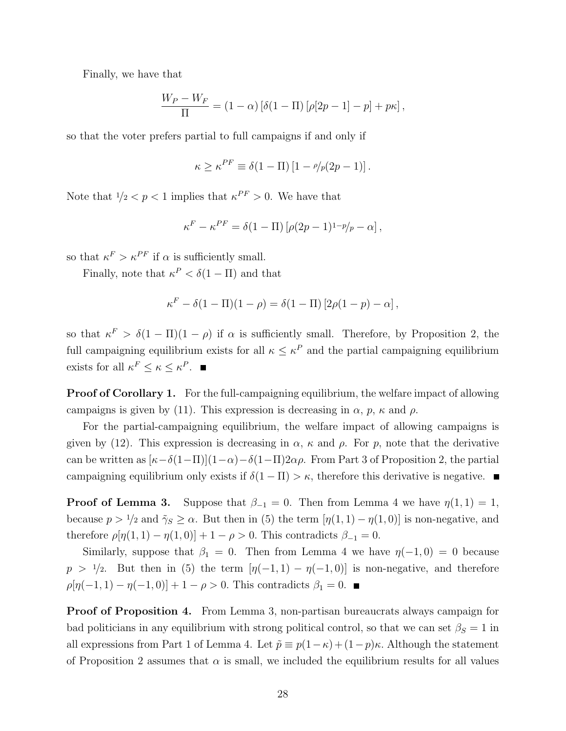Finally, we have that

$$
\frac{W_P - W_F}{\Pi} = (1 - \alpha) [\delta(1 - \Pi) [\rho[2p - 1] - p] + p\kappa],
$$

so that the voter prefers partial to full campaigns if and only if

$$
\kappa \geq \kappa^{PF} \equiv \delta(1 - \Pi) \left[ 1 - \frac{\rho}{\rho(2p - 1)} \right].
$$

Note that  $1/2 < p < 1$  implies that  $\kappa^{PF} > 0$ . We have that

$$
\kappa^F - \kappa^{PF} = \delta(1 - \Pi) \left[ \rho (2p - 1)^{1 - p} / p - \alpha \right],
$$

so that  $\kappa^F > \kappa^{PF}$  if  $\alpha$  is sufficiently small.

Finally, note that  $\kappa^P < \delta(1 - \Pi)$  and that

$$
\kappa^{F} - \delta(1 - \Pi)(1 - \rho) = \delta(1 - \Pi) [2\rho(1 - p) - \alpha],
$$

so that  $\kappa^F > \delta(1-\Pi)(1-\rho)$  if  $\alpha$  is sufficiently small. Therefore, by Proposition 2, the full campaigning equilibrium exists for all  $\kappa \leq \kappa^P$  and the partial campaigning equilibrium exists for all  $\kappa^F \leq \kappa \leq \kappa^P$ .

**Proof of Corollary 1.** For the full-campaigning equilibrium, the welfare impact of allowing campaigns is given by (11). This expression is decreasing in  $\alpha$ ,  $p$ ,  $\kappa$  and  $\rho$ .

For the partial-campaigning equilibrium, the welfare impact of allowing campaigns is given by (12). This expression is decreasing in  $\alpha$ ,  $\kappa$  and  $\rho$ . For p, note that the derivative can be written as  $[\kappa-\delta(1-\Pi)](1-\alpha)-\delta(1-\Pi)2\alpha\rho$ . From Part 3 of Proposition 2, the partial campaigning equilibrium only exists if  $\delta(1 - \Pi) > \kappa$ , therefore this derivative is negative.

**Proof of Lemma 3.** Suppose that  $\beta_{-1} = 0$ . Then from Lemma 4 we have  $\eta(1,1) = 1$ , because  $p > 1/2$  and  $\tilde{\gamma}_S \ge \alpha$ . But then in (5) the term  $[\eta(1,1) - \eta(1,0)]$  is non-negative, and therefore  $\rho[\eta(1,1) - \eta(1,0)] + 1 - \rho > 0$ . This contradicts  $\beta_{-1} = 0$ .

Similarly, suppose that  $\beta_1 = 0$ . Then from Lemma 4 we have  $\eta(-1,0) = 0$  because  $p > 1/2$ . But then in (5) the term  $[\eta(-1, 1) - \eta(-1, 0)]$  is non-negative, and therefore  $\rho[\eta(-1, 1) - \eta(-1, 0)] + 1 - \rho > 0$ . This contradicts  $\beta_1 = 0$ .

Proof of Proposition 4. From Lemma 3, non-partisan bureaucrats always campaign for bad politicians in any equilibrium with strong political control, so that we can set  $\beta_S = 1$  in all expressions from Part 1 of Lemma 4. Let  $\tilde{p} \equiv p(1-\kappa) + (1-p)\kappa$ . Although the statement of Proposition 2 assumes that  $\alpha$  is small, we included the equilibrium results for all values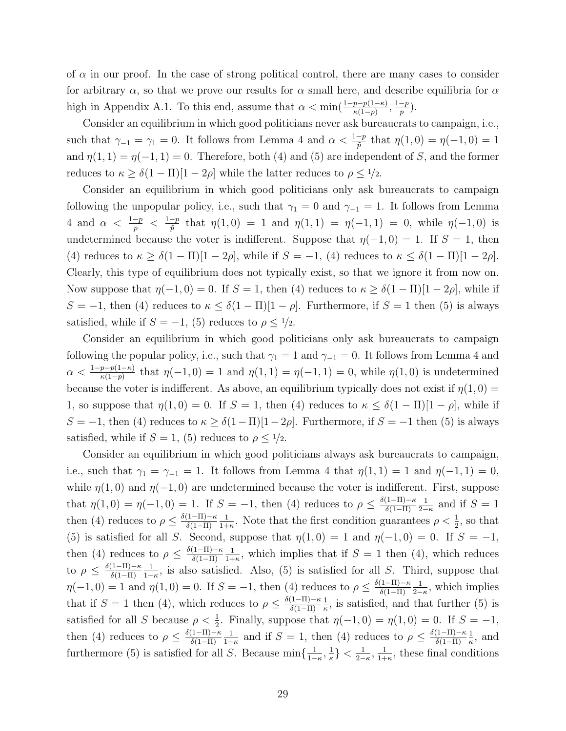of  $\alpha$  in our proof. In the case of strong political control, there are many cases to consider for arbitrary  $\alpha$ , so that we prove our results for  $\alpha$  small here, and describe equilibria for  $\alpha$ high in Appendix A.1. To this end, assume that  $\alpha < \min(\frac{1-p-p(1-\kappa)}{\kappa(1-p)}, \frac{1-p}{p})$  $\frac{-p}{p}$ ).

Consider an equilibrium in which good politicians never ask bureaucrats to campaign, i.e., such that  $\gamma_{-1} = \gamma_1 = 0$ . It follows from Lemma 4 and  $\alpha < \frac{1-p}{\tilde{p}}$  that  $\eta(1,0) = \eta(-1,0) = 1$ and  $\eta(1,1) = \eta(-1,1) = 0$ . Therefore, both (4) and (5) are independent of S, and the former reduces to  $\kappa \geq \delta(1 - \Pi)[1 - 2\rho]$  while the latter reduces to  $\rho \leq \frac{1}{2}$ .

Consider an equilibrium in which good politicians only ask bureaucrats to campaign following the unpopular policy, i.e., such that  $\gamma_1 = 0$  and  $\gamma_{-1} = 1$ . It follows from Lemma 4 and  $\alpha < \frac{1-p}{p} < \frac{1-p}{\tilde{p}}$  $\frac{-p}{\tilde{p}}$  that  $\eta(1,0) = 1$  and  $\eta(1,1) = \eta(-1,1) = 0$ , while  $\eta(-1,0)$  is undetermined because the voter is indifferent. Suppose that  $\eta(-1,0) = 1$ . If  $S = 1$ , then (4) reduces to  $\kappa \geq \delta(1-\Pi)[1-2\rho]$ , while if  $S = -1$ , (4) reduces to  $\kappa \leq \delta(1-\Pi)[1-2\rho]$ . Clearly, this type of equilibrium does not typically exist, so that we ignore it from now on. Now suppose that  $\eta(-1,0) = 0$ . If  $S = 1$ , then (4) reduces to  $\kappa \geq \delta(1 - \Pi)[1 - 2\rho]$ , while if S = −1, then (4) reduces to  $\kappa \leq \delta(1-\Pi)[1-\rho]$ . Furthermore, if S = 1 then (5) is always satisfied, while if  $S = -1$ , (5) reduces to  $\rho \leq 1/2$ .

Consider an equilibrium in which good politicians only ask bureaucrats to campaign following the popular policy, i.e., such that  $\gamma_1 = 1$  and  $\gamma_{-1} = 0$ . It follows from Lemma 4 and  $\alpha < \frac{1-p-p(1-\kappa)}{\kappa(1-p)}$  that  $\eta(-1,0) = 1$  and  $\eta(1,1) = \eta(-1,1) = 0$ , while  $\eta(1,0)$  is undetermined because the voter is indifferent. As above, an equilibrium typically does not exist if  $\eta(1,0)$  = 1, so suppose that  $\eta(1,0) = 0$ . If  $S = 1$ , then (4) reduces to  $\kappa \leq \delta(1 - \Pi)[1 - \rho]$ , while if S = −1, then (4) reduces to  $\kappa \geq \delta(1-\Pi)[1-2\rho]$ . Furthermore, if  $S = -1$  then (5) is always satisfied, while if  $S = 1$ , (5) reduces to  $\rho \leq \frac{1}{2}$ .

Consider an equilibrium in which good politicians always ask bureaucrats to campaign, i.e., such that  $\gamma_1 = \gamma_{-1} = 1$ . It follows from Lemma 4 that  $\eta(1,1) = 1$  and  $\eta(-1,1) = 0$ , while  $\eta(1,0)$  and  $\eta(-1,0)$  are undetermined because the voter is indifferent. First, suppose that  $\eta(1,0) = \eta(-1,0) = 1$ . If  $S = -1$ , then (4) reduces to  $\rho \leq \frac{\delta(1-\Pi)-\kappa}{\delta(1-\Pi)}$  $\delta(1-\Pi)$ 1  $\frac{1}{2-\kappa}$  and if  $S=1$ then (4) reduces to  $\rho \leq \frac{\delta(1-\Pi)-\kappa}{\delta(1-\Pi)}$  $\delta(1-\Pi)$ 1  $\frac{1}{1+\kappa}$ . Note that the first condition guarantees  $\rho < \frac{1}{2}$ , so that (5) is satisfied for all S. Second, suppose that  $\eta(1,0) = 1$  and  $\eta(-1,0) = 0$ . If  $S = -1$ , then (4) reduces to  $\rho \leq \frac{\delta(1-\Pi)-\kappa}{\delta(1-\Pi)}$  $\delta(1-\Pi)$ 1  $\frac{1}{1+\kappa}$ , which implies that if  $S=1$  then (4), which reduces to  $\rho \leq \frac{\delta(1-\Pi)-\kappa}{\delta(1-\Pi)}$  $\delta(1-\Pi)$ 1  $\frac{1}{1-\kappa}$ , is also satisfied. Also, (5) is satisfied for all S. Third, suppose that  $\eta(-1,0) = 1$  and  $\eta(1,0) = 0$ . If  $S = -1$ , then (4) reduces to  $\rho \leq \frac{\delta(1-\Pi)-\kappa}{\delta(1-\Pi)}$  $\delta(1-\Pi)$ 1  $\frac{1}{2-\kappa}$ , which implies that if  $S = 1$  then (4), which reduces to  $\rho \leq \frac{\delta(1-\Pi)-\kappa}{\delta(1-\Pi)}$  $\delta(1-\Pi)$ 1  $\frac{1}{\kappa}$ , is satisfied, and that further (5) is satisfied for all S because  $\rho < \frac{1}{2}$ . Finally, suppose that  $\eta(-1,0) = \eta(1,0) = 0$ . If  $S = -1$ , then (4) reduces to  $\rho \leq \frac{\delta(1-\Pi)-\kappa}{\delta(1-\Pi)}$  $\delta(1-\Pi)$ 1  $\frac{1}{1-\kappa}$  and if  $S=1$ , then (4) reduces to  $\rho \leq \frac{\delta(1-\Pi)-\kappa}{\delta(1-\Pi)}$  $\delta(1-\Pi)$ 1  $\frac{1}{\kappa}$ , and furthermore (5) is satisfied for all S. Because  $\min\{\frac{1}{1-\epsilon}\}$  $\frac{1}{1-\kappa}, \frac{1}{\kappa}$  $\frac{1}{\kappa} \} < \frac{1}{2-}$  $\frac{1}{2-\kappa}, \frac{1}{1+\kappa}$  $\frac{1}{1+\kappa}$ , these final conditions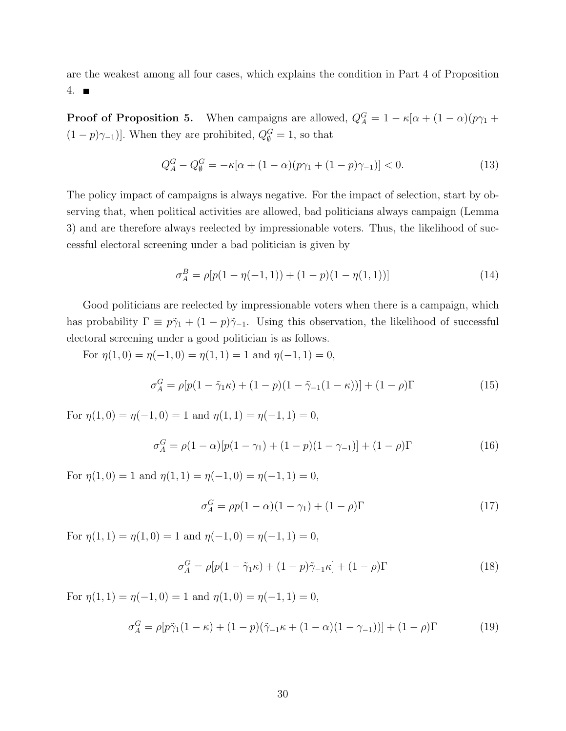are the weakest among all four cases, which explains the condition in Part 4 of Proposition 4.  $\blacksquare$ 

**Proof of Proposition 5.** When campaigns are allowed,  $Q_A^G = 1 - \kappa[\alpha + (1 - \alpha)(p\gamma_1 + p\gamma_2)]$  $(1-p)\gamma_{-1}$ ]. When they are prohibited,  $Q_{\emptyset}^G = 1$ , so that

$$
Q_A^G - Q_\emptyset^G = -\kappa [\alpha + (1 - \alpha)(p\gamma_1 + (1 - p)\gamma_{-1})] < 0. \tag{13}
$$

The policy impact of campaigns is always negative. For the impact of selection, start by observing that, when political activities are allowed, bad politicians always campaign (Lemma 3) and are therefore always reelected by impressionable voters. Thus, the likelihood of successful electoral screening under a bad politician is given by

$$
\sigma_A^B = \rho[p(1 - \eta(-1, 1)) + (1 - p)(1 - \eta(1, 1))]
$$
\n(14)

Good politicians are reelected by impressionable voters when there is a campaign, which has probability  $\Gamma \equiv p\tilde{\gamma}_1 + (1-p)\tilde{\gamma}_{-1}$ . Using this observation, the likelihood of successful electoral screening under a good politician is as follows.

For  $\eta(1,0) = \eta(-1,0) = \eta(1,1) = 1$  and  $\eta(-1,1) = 0$ ,

$$
\sigma_A^G = \rho [p(1 - \tilde{\gamma}_1 \kappa) + (1 - p)(1 - \tilde{\gamma}_{-1}(1 - \kappa))] + (1 - \rho)\Gamma
$$
\n(15)

For  $\eta(1,0) = \eta(-1,0) = 1$  and  $\eta(1,1) = \eta(-1,1) = 0$ ,

$$
\sigma_A^G = \rho(1 - \alpha)[p(1 - \gamma_1) + (1 - p)(1 - \gamma_{-1})] + (1 - \rho)\Gamma
$$
\n(16)

For  $\eta(1,0) = 1$  and  $\eta(1,1) = \eta(-1,0) = \eta(-1,1) = 0$ .

$$
\sigma_A^G = \rho p (1 - \alpha)(1 - \gamma_1) + (1 - \rho) \Gamma \tag{17}
$$

For  $\eta(1, 1) = \eta(1, 0) = 1$  and  $\eta(-1, 0) = \eta(-1, 1) = 0$ ,

$$
\sigma_A^G = \rho[p(1 - \tilde{\gamma}_1 \kappa) + (1 - p)\tilde{\gamma}_{-1} \kappa] + (1 - \rho)\Gamma
$$
\n(18)

For  $\eta(1, 1) = \eta(-1, 0) = 1$  and  $\eta(1, 0) = \eta(-1, 1) = 0$ ,

$$
\sigma_A^G = \rho [p\tilde{\gamma}_1(1-\kappa) + (1-p)(\tilde{\gamma}_{-1}\kappa + (1-\alpha)(1-\gamma_{-1}))] + (1-\rho)\Gamma
$$
 (19)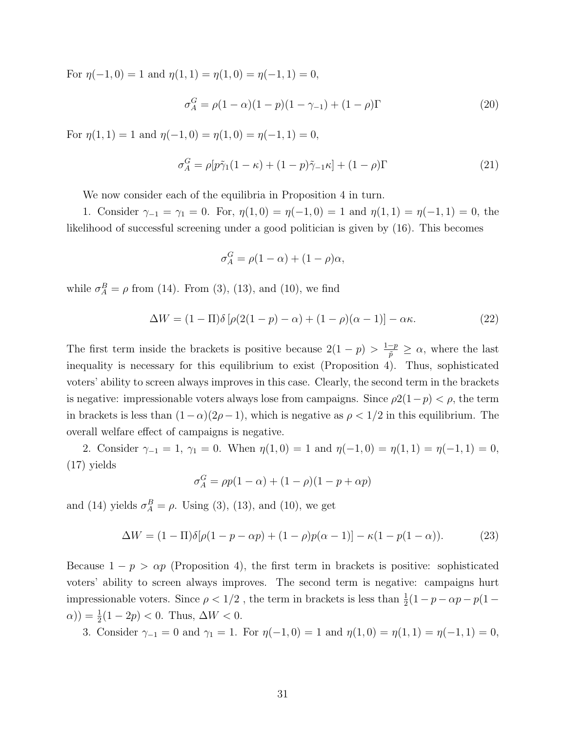For  $\eta(-1,0) = 1$  and  $\eta(1,1) = \eta(1,0) = \eta(-1,1) = 0$ ,

$$
\sigma_A^G = \rho (1 - \alpha)(1 - p)(1 - \gamma_{-1}) + (1 - \rho)\Gamma
$$
\n(20)

For  $\eta(1, 1) = 1$  and  $\eta(-1, 0) = \eta(1, 0) = \eta(-1, 1) = 0$ ,

$$
\sigma_A^G = \rho[p\tilde{\gamma}_1(1-\kappa) + (1-p)\tilde{\gamma}_{-1}\kappa] + (1-\rho)\Gamma \tag{21}
$$

We now consider each of the equilibria in Proposition 4 in turn.

1. Consider  $\gamma_{-1} = \gamma_1 = 0$ . For,  $\eta(1,0) = \eta(-1,0) = 1$  and  $\eta(1,1) = \eta(-1,1) = 0$ , the likelihood of successful screening under a good politician is given by (16). This becomes

$$
\sigma^G_A = \rho(1-\alpha) + (1-\rho)\alpha,
$$

while  $\sigma_A^B = \rho$  from (14). From (3), (13), and (10), we find

$$
\Delta W = (1 - \Pi)\delta \left[ \rho (2(1 - p) - \alpha) + (1 - \rho)(\alpha - 1) \right] - \alpha \kappa. \tag{22}
$$

The first term inside the brackets is positive because  $2(1-p) > \frac{1-p}{\tilde{p}} \ge \alpha$ , where the last inequality is necessary for this equilibrium to exist (Proposition 4). Thus, sophisticated voters' ability to screen always improves in this case. Clearly, the second term in the brackets is negative: impressionable voters always lose from campaigns. Since  $\rho(1-p) < \rho$ , the term in brackets is less than  $(1-\alpha)(2\rho-1)$ , which is negative as  $\rho < 1/2$  in this equilibrium. The overall welfare effect of campaigns is negative.

2. Consider  $\gamma_{-1} = 1$ ,  $\gamma_1 = 0$ . When  $\eta(1,0) = 1$  and  $\eta(-1,0) = \eta(1,1) = \eta(-1,1) = 0$ , (17) yields

$$
\sigma_A^G = \rho p(1-\alpha) + (1-\rho)(1-p+\alpha p)
$$

and (14) yields  $\sigma_A^B = \rho$ . Using (3), (13), and (10), we get

$$
\Delta W = (1 - \Pi)\delta[\rho(1 - p - \alpha p) + (1 - \rho)p(\alpha - 1)] - \kappa(1 - p(1 - \alpha)).
$$
 (23)

Because  $1 - p > \alpha p$  (Proposition 4), the first term in brackets is positive: sophisticated voters' ability to screen always improves. The second term is negative: campaigns hurt impressionable voters. Since  $\rho < 1/2$ , the term in brackets is less than  $\frac{1}{2}(1-p-\alpha p -p(1-p))$  $(\alpha)$ ) =  $\frac{1}{2}(1 - 2p) < 0$ . Thus,  $\Delta W < 0$ .

3. Consider  $\gamma_{-1} = 0$  and  $\gamma_1 = 1$ . For  $\eta(-1, 0) = 1$  and  $\eta(1, 0) = \eta(1, 1) = \eta(-1, 1) = 0$ ,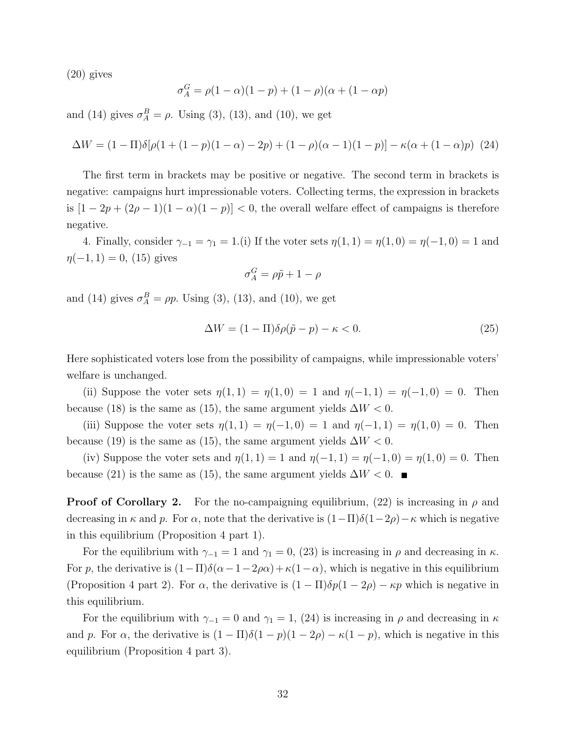(20) gives

$$
\sigma_A^G = \rho(1 - \alpha)(1 - p) + (1 - \rho)(\alpha + (1 - \alpha p))
$$

and (14) gives  $\sigma_A^B = \rho$ . Using (3), (13), and (10), we get

$$
\Delta W = (1 - \Pi)\delta[\rho(1 + (1 - p)(1 - \alpha) - 2p) + (1 - \rho)(\alpha - 1)(1 - p)] - \kappa(\alpha + (1 - \alpha)p)
$$
 (24)

The first term in brackets may be positive or negative. The second term in brackets is negative: campaigns hurt impressionable voters. Collecting terms, the expression in brackets is  $[1 - 2p + (2p - 1)(1 - \alpha)(1 - p)] < 0$ , the overall welfare effect of campaigns is therefore negative.

4. Finally, consider  $\gamma_{-1} = \gamma_1 = 1.$  (i) If the voter sets  $\eta(1,1) = \eta(1,0) = \eta(-1,0) = 1$  and  $\eta(-1, 1) = 0$ , (15) gives

$$
\sigma_A^G = \rho \tilde{p} + 1 - \rho
$$

and (14) gives  $\sigma_A^B = \rho p$ . Using (3), (13), and (10), we get

$$
\Delta W = (1 - \Pi)\delta\rho(\tilde{p} - p) - \kappa < 0. \tag{25}
$$

Here sophisticated voters lose from the possibility of campaigns, while impressionable voters' welfare is unchanged.

(ii) Suppose the voter sets  $\eta(1,1) = \eta(1,0) = 1$  and  $\eta(-1,1) = \eta(-1,0) = 0$ . Then because (18) is the same as (15), the same argument yields  $\Delta W < 0$ .

(iii) Suppose the voter sets  $\eta(1,1) = \eta(-1,0) = 1$  and  $\eta(-1,1) = \eta(1,0) = 0$ . Then because (19) is the same as (15), the same argument yields  $\Delta W < 0$ .

(iv) Suppose the voter sets and  $\eta(1,1) = 1$  and  $\eta(-1,1) = \eta(-1,0) = \eta(1,0) = 0$ . Then because (21) is the same as (15), the same argument yields  $\Delta W < 0$ .

**Proof of Corollary 2.** For the no-campaigning equilibrium, (22) is increasing in  $\rho$  and decreasing in  $\kappa$  and p. For  $\alpha$ , note that the derivative is  $(1-\Pi)\delta(1-2\rho) - \kappa$  which is negative in this equilibrium (Proposition 4 part 1).

For the equilibrium with  $\gamma_{-1} = 1$  and  $\gamma_1 = 0$ , (23) is increasing in  $\rho$  and decreasing in  $\kappa$ . For p, the derivative is  $(1-\Pi)\delta(\alpha-1-2\rho\alpha)+\kappa(1-\alpha)$ , which is negative in this equilibrium (Proposition 4 part 2). For  $\alpha$ , the derivative is  $(1 - \Pi)\delta p(1 - 2\rho) - \kappa p$  which is negative in this equilibrium.

For the equilibrium with  $\gamma_{-1} = 0$  and  $\gamma_1 = 1$ , (24) is increasing in  $\rho$  and decreasing in  $\kappa$ and p. For  $\alpha$ , the derivative is  $(1 - \Pi)\delta(1 - p)(1 - 2\rho) - \kappa(1 - p)$ , which is negative in this equilibrium (Proposition 4 part 3).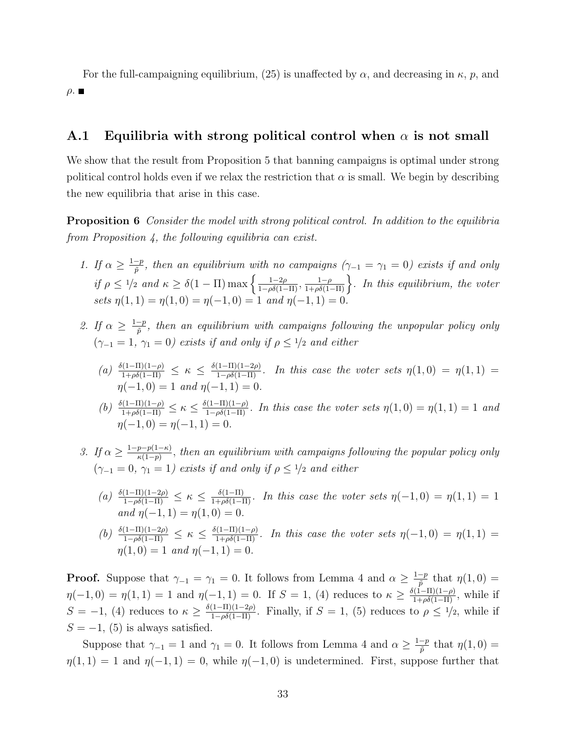For the full-campaigning equilibrium, (25) is unaffected by  $\alpha$ , and decreasing in  $\kappa$ , p, and  $ρ.$ 

### A.1 Equilibria with strong political control when  $\alpha$  is not small

We show that the result from Proposition 5 that banning campaigns is optimal under strong political control holds even if we relax the restriction that  $\alpha$  is small. We begin by describing the new equilibria that arise in this case.

Proposition 6 Consider the model with strong political control. In addition to the equilibria from Proposition 4, the following equilibria can exist.

- 1. If  $\alpha \geq \frac{1-p}{\tilde{p}}$ , then an equilibrium with no campaigns  $(\gamma_{-1} = \gamma_1 = 0)$  exists if and only  $\tilde{p}$ if  $\rho \leq 1/2$  and  $\kappa \geq \delta(1-\Pi) \max\left\{\frac{1-2\rho}{1-\rho\delta(1-\Pi)}, \frac{1-\rho}{1+\rho\delta(1-\Pi)}\right\}$ . In this equilibrium, the voter sets  $\eta(1,1) = \eta(1,0) = \eta(-1,0) = 1$  and  $\eta(-1,1) = 0$ .
- 2. If  $\alpha \geq \frac{1-p}{\tilde{p}}$  $\frac{-p}{\tilde{p}}$ , then an equilibrium with campaigns following the unpopular policy only  $(\gamma_{-1} = 1, \gamma_1 = 0)$  exists if and only if  $\rho \leq \frac{1}{2}$  and either
	- (a)  $\frac{\delta(1-\Pi)(1-\rho)}{1+\rho\delta(1-\Pi)} \leq \kappa \leq \frac{\delta(1-\Pi)(1-2\rho)}{1-\rho\delta(1-\Pi)}$ . In this case the voter sets  $\eta(1,0) = \eta(1,1) =$  $\eta(-1,0) = 1$  and  $\eta(-1,1) = 0$ .
	- (b)  $\frac{\delta(1-\Pi)(1-\rho)}{1+\rho\delta(1-\Pi)} \leq \kappa \leq \frac{\delta(1-\Pi)(1-\rho)}{1-\rho\delta(1-\Pi)}$ . In this case the voter sets  $\eta(1,0) = \eta(1,1) = 1$  and  $\eta(-1,0) = \eta(-1,1) = 0.$
- 3. If  $\alpha \geq \frac{1-p-p(1-\kappa)}{\kappa(1-p)}$  $\frac{p-p(1-\kappa)}{\kappa(1-p)}$ , then an equilibrium with campaigns following the popular policy only  $(\gamma_{-1} = 0, \gamma_1 = 1)$  exists if and only if  $\rho \leq \frac{1}{2}$  and either
	- (a)  $\frac{\delta(1-\Pi)(1-2\rho)}{1-\rho\delta(1-\Pi)} \leq \kappa \leq \frac{\delta(1-\Pi)}{1+\rho\delta(1-\Pi)}$ . In this case the voter sets  $\eta(-1,0) = \eta(1,1) = 1$ and  $\eta(-1, 1) = \eta(1, 0) = 0$ .
	- (b)  $\frac{\delta(1-\Pi)(1-2\rho)}{1-\rho\delta(1-\Pi)} \leq \kappa \leq \frac{\delta(1-\Pi)(1-\rho)}{1+\rho\delta(1-\Pi)}$ . In this case the voter sets  $\eta(-1,0) = \eta(1,1) =$  $n(1,0) = 1$  and  $n(-1,1) = 0$ .

**Proof.** Suppose that  $\gamma_{-1} = \gamma_1 = 0$ . It follows from Lemma 4 and  $\alpha \geq \frac{1-p}{\tilde{n}}$  $\frac{-p}{\tilde{p}}$  that  $\eta(1,0) =$  $\eta(-1,0) = \eta(1,1) = 1$  and  $\eta(-1,1) = 0$ . If  $S = 1$ , (4) reduces to  $\kappa \ge \frac{\delta(1-\Pi)(1-\rho)}{1+\rho\delta(1-\Pi)}$ , while if  $S = -1$ , (4) reduces to  $\kappa \geq \frac{\delta(1-\Pi)(1-2\rho)}{1-\rho\delta(1-\Pi)}$ . Finally, if  $S = 1$ , (5) reduces to  $\rho \leq \frac{1}{2}$ , while if  $S = -1$ , (5) is always satisfied.

Suppose that  $\gamma_{-1} = 1$  and  $\gamma_1 = 0$ . It follows from Lemma 4 and  $\alpha \geq \frac{1-p}{\tilde{p}}$  $\frac{-p}{\tilde{p}}$  that  $\eta(1,0) =$  $\eta(1,1) = 1$  and  $\eta(-1,1) = 0$ , while  $\eta(-1,0)$  is undetermined. First, suppose further that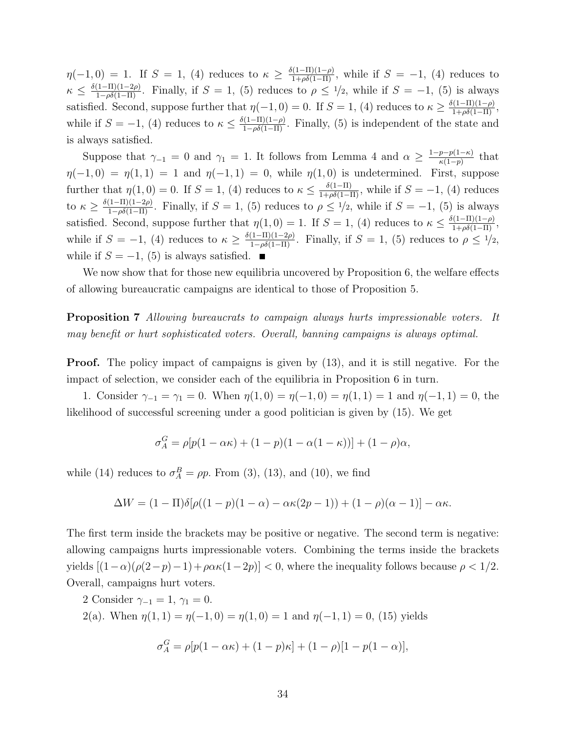$\eta(-1,0) = 1$ . If  $S = 1$ , (4) reduces to  $\kappa \geq \frac{\delta(1-\Pi)(1-\rho)}{1+\rho\delta(1-\Pi)}$ , while if  $S = -1$ , (4) reduces to  $\kappa \leq \frac{\delta(1-\Pi)(1-2\rho)}{1-\rho\delta(1-\Pi)}$ . Finally, if  $S=1$ , (5) reduces to  $\rho \leq 1/2$ , while if  $S=-1$ , (5) is always satisfied. Second, suppose further that  $\eta(-1,0) = 0$ . If  $S = 1$ , (4) reduces to  $\kappa \geq \frac{\delta(1-\Pi)(1-\rho)}{1+\rho\delta(1-\Pi)}$ , while if  $S = -1$ , (4) reduces to  $\kappa \leq \frac{\delta(1-\Pi)(1-\rho)}{1-\rho\delta(1-\Pi)}$ . Finally, (5) is independent of the state and is always satisfied.

Suppose that  $\gamma_{-1} = 0$  and  $\gamma_1 = 1$ . It follows from Lemma 4 and  $\alpha \geq \frac{1-p-p(1-\kappa)}{\kappa(1-p)}$  $\frac{p-p(1-\kappa)}{\kappa(1-p)}$  that  $\eta(-1,0) = \eta(1,1) = 1$  and  $\eta(-1,1) = 0$ , while  $\eta(1,0)$  is undetermined. First, suppose further that  $\eta(1,0) = 0$ . If  $S = 1$ , (4) reduces to  $\kappa \leq \frac{\delta(1-\Pi)}{1+\rho\delta(1-\Pi)}$ , while if  $S = -1$ , (4) reduces to  $\kappa \geq \frac{\delta(1-\Pi)(1-2\rho)}{1-\rho\delta(1-\Pi)}$ . Finally, if  $S=1$ , (5) reduces to  $\rho \leq 1/2$ , while if  $S=-1$ , (5) is always satisfied. Second, suppose further that  $\eta(1,0) = 1$ . If  $S = 1$ , (4) reduces to  $\kappa \leq \frac{\delta(1-\Pi)(1-\rho)}{1+\rho\delta(1-\Pi)}$ , while if  $S = -1$ , (4) reduces to  $\kappa \geq \frac{\delta(1-\Pi)(1-2\rho)}{1-\rho\delta(1-\Pi)}$ . Finally, if  $S = 1$ , (5) reduces to  $\rho \leq \frac{1}{2}$ , while if  $S = -1$ , (5) is always satisfied. ■

We now show that for those new equilibria uncovered by Proposition 6, the welfare effects of allowing bureaucratic campaigns are identical to those of Proposition 5.

Proposition 7 Allowing bureaucrats to campaign always hurts impressionable voters. It may benefit or hurt sophisticated voters. Overall, banning campaigns is always optimal.

**Proof.** The policy impact of campaigns is given by  $(13)$ , and it is still negative. For the impact of selection, we consider each of the equilibria in Proposition 6 in turn.

1. Consider  $\gamma_{-1} = \gamma_1 = 0$ . When  $\eta(1,0) = \eta(-1,0) = \eta(1,1) = 1$  and  $\eta(-1,1) = 0$ , the likelihood of successful screening under a good politician is given by (15). We get

$$
\sigma_A^G = \rho[p(1 - \alpha \kappa) + (1 - p)(1 - \alpha(1 - \kappa))] + (1 - \rho)\alpha,
$$

while (14) reduces to  $\sigma_A^B = \rho p$ . From (3), (13), and (10), we find

$$
\Delta W = (1 - \Pi)\delta[\rho((1 - p)(1 - \alpha) - \alpha\kappa(2p - 1)) + (1 - \rho)(\alpha - 1)] - \alpha\kappa.
$$

The first term inside the brackets may be positive or negative. The second term is negative: allowing campaigns hurts impressionable voters. Combining the terms inside the brackets yields  $[(1-\alpha)(\rho(2-p)-1)+\rho\alpha\kappa(1-2p)] < 0$ , where the inequality follows because  $\rho < 1/2$ . Overall, campaigns hurt voters.

2 Consider  $\gamma_{-1} = 1, \gamma_1 = 0.$ 

2(a). When  $\eta(1,1) = \eta(-1,0) = \eta(1,0) = 1$  and  $\eta(-1,1) = 0$ , (15) yields

$$
\sigma_A^G = \rho[p(1 - \alpha \kappa) + (1 - p)\kappa] + (1 - \rho)[1 - p(1 - \alpha)],
$$